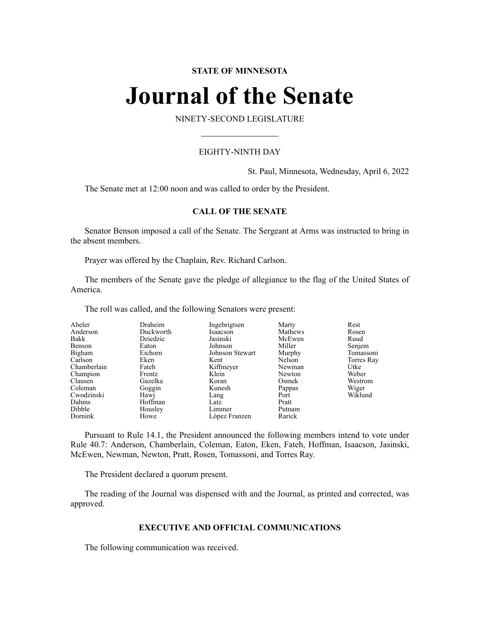# **STATE OF MINNESOTA**

# **Journal of the Senate**

NINETY-SECOND LEGISLATURE

# EIGHTY-NINTH DAY

St. Paul, Minnesota, Wednesday, April 6, 2022

The Senate met at 12:00 noon and was called to order by the President.

# **CALL OF THE SENATE**

Senator Benson imposed a call of the Senate. The Sergeant at Arms was instructed to bring in the absent members.

Prayer was offered by the Chaplain, Rev. Richard Carlson.

The members of the Senate gave the pledge of allegiance to the flag of the United States of America.

The roll was called, and the following Senators were present:

| Abeler      | Draheim   | Ingebrigtsen    | Marty   | Rest       |
|-------------|-----------|-----------------|---------|------------|
| Anderson    | Duckworth | Isaacson        | Mathews | Rosen      |
| Bakk        | Dziedzic  | Jasinski        | McEwen  | Ruud       |
| Benson      | Eaton     | Johnson         | Miller  | Senjem     |
| Bigham      | Eichorn   | Johnson Stewart | Murphy  | Tomassoni  |
| Carlson     | Eken      | Kent            | Nelson  | Torres Ray |
| Chamberlain | Fateh     | Kiffmeyer       | Newman  | Utke       |
| Champion    | Frentz    | Klein           | Newton  | Weber      |
| Clausen     | Gazelka   | Koran           | Osmek   | Westrom    |
| Coleman     | Goggin    | Kunesh          | Pappas  | Wiger      |
| Cwodzinski  | Hawj      | Lang            | Port    | Wiklund    |
| Dahms       | Hoffman   | Latz            | Pratt   |            |
| Dibble      | Housley   | Limmer          | Putnam  |            |
| Dornink     | Howe      | López Franzen   | Rarick  |            |

Pursuant to Rule 14.1, the President announced the following members intend to vote under Rule 40.7: Anderson, Chamberlain, Coleman, Eaton, Eken, Fateh, Hoffman, Isaacson, Jasinski, McEwen, Newman, Newton, Pratt, Rosen, Tomassoni, and Torres Ray.

The President declared a quorum present.

The reading of the Journal was dispensed with and the Journal, as printed and corrected, was approved.

# **EXECUTIVE AND OFFICIAL COMMUNICATIONS**

The following communication was received.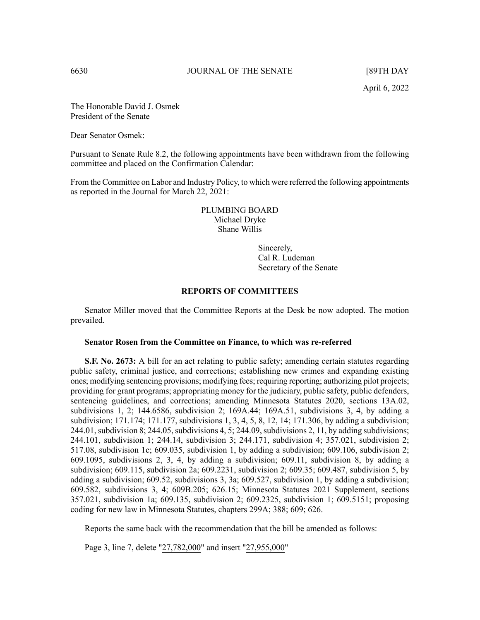The Honorable David J. Osmek President of the Senate

Dear Senator Osmek:

Pursuant to Senate Rule 8.2, the following appointments have been withdrawn from the following committee and placed on the Confirmation Calendar:

From the Committee on Labor and Industry Policy, to which were referred the following appointments as reported in the Journal for March 22, 2021:

> PLUMBING BOARD Michael Dryke Shane Willis

> > Sincerely, Cal R. Ludeman Secretary of the Senate

### **REPORTS OF COMMITTEES**

Senator Miller moved that the Committee Reports at the Desk be now adopted. The motion prevailed.

#### **Senator Rosen from the Committee on Finance, to which was re-referred**

**S.F.** No. 2673: A bill for an act relating to public safety; amending certain statutes regarding public safety, criminal justice, and corrections; establishing new crimes and expanding existing ones; modifying sentencing provisions; modifying fees; requiring reporting; authorizing pilot projects; providing for grant programs; appropriating money for the judiciary, public safety, public defenders, sentencing guidelines, and corrections; amending Minnesota Statutes 2020, sections 13A.02, subdivisions 1, 2; 144.6586, subdivision 2; 169A.44; 169A.51, subdivisions 3, 4, by adding a subdivision; 171.174; 171.177, subdivisions 1, 3, 4, 5, 8, 12, 14; 171.306, by adding a subdivision;  $244.01$ , subdivision 8; 244.05, subdivisions 4, 5; 244.09, subdivisions 2, 11, by adding subdivisions; 244.101, subdivision 1; 244.14, subdivision 3; 244.171, subdivision 4; 357.021, subdivision 2; 517.08, subdivision 1c; 609.035, subdivision 1, by adding a subdivision; 609.106, subdivision 2; 609.1095, subdivisions 2, 3, 4, by adding a subdivision; 609.11, subdivision 8, by adding a subdivision; 609.115, subdivision 2a; 609.2231, subdivision 2; 609.35; 609.487, subdivision 5, by adding a subdivision; 609.52, subdivisions 3, 3a; 609.527, subdivision 1, by adding a subdivision; 609.582, subdivisions 3, 4; 609B.205; 626.15; Minnesota Statutes 2021 Supplement, sections 357.021, subdivision 1a; 609.135, subdivision 2; 609.2325, subdivision 1; 609.5151; proposing coding for new law in Minnesota Statutes, chapters 299A; 388; 609; 626.

Reports the same back with the recommendation that the bill be amended as follows:

Page 3, line 7, delete "27,782,000" and insert "27,955,000"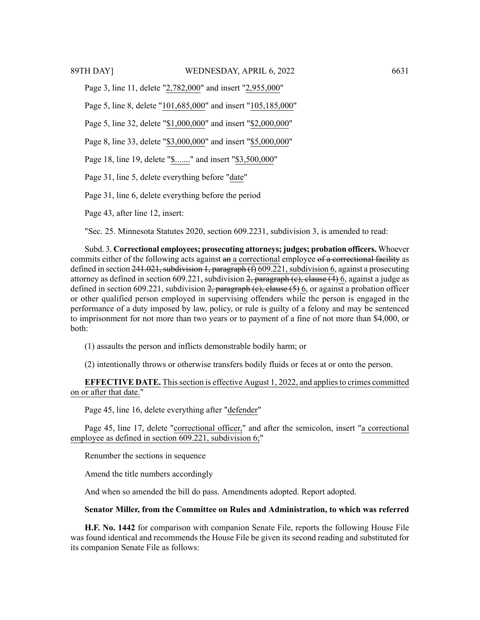Page 3, line 11, delete "2,782,000" and insert "2,955,000"

Page 5, line 8, delete "101,685,000" and insert "105,185,000"

Page 5, line 32, delete "\$1,000,000" and insert "\$2,000,000"

Page 8, line 33, delete "\$3,000,000" and insert "\$5,000,000"

Page 18, line 19, delete "\$......." and insert "\$3,500,000"

Page 31, line 5, delete everything before "date"

Page 31, line 6, delete everything before the period

Page 43, after line 12, insert:

"Sec. 25. Minnesota Statutes 2020, section 609.2231, subdivision 3, is amended to read:

Subd. 3. **Correctional employees; prosecuting attorneys; judges; probation officers.** Whoever commits either of the following acts against an a correctional employee of a correctional facility as defined in section  $241.021$ , subdivision 1, paragraph (f) 609.221, subdivision 6, against a prosecuting attorney as defined in section 609.221, subdivision  $\frac{2}{2}$ , paragraph (e), clause (4) 6, against a judge as defined in section 609.221, subdivision  $2$ , paragraph (e), clause (5) 6, or against a probation officer or other qualified person employed in supervising offenders while the person is engaged in the performance of a duty imposed by law, policy, or rule is guilty of a felony and may be sentenced to imprisonment for not more than two years or to payment of a fine of not more than \$4,000, or both:

(1) assaults the person and inflicts demonstrable bodily harm; or

(2) intentionally throws or otherwise transfers bodily fluids or feces at or onto the person.

**EFFECTIVE DATE.** Thissection is effective August 1, 2022, and appliesto crimes committed on or after that date."

Page 45, line 16, delete everything after "defender"

Page 45, line 17, delete "correctional officer," and after the semicolon, insert "a correctional employee as defined in section 609.221, subdivision 6;"

Renumber the sections in sequence

Amend the title numbers accordingly

And when so amended the bill do pass. Amendments adopted. Report adopted.

### **Senator Miller, from the Committee on Rules and Administration, to which was referred**

**H.F. No. 1442** for comparison with companion Senate File, reports the following House File was found identical and recommends the House File be given its second reading and substituted for its companion Senate File as follows: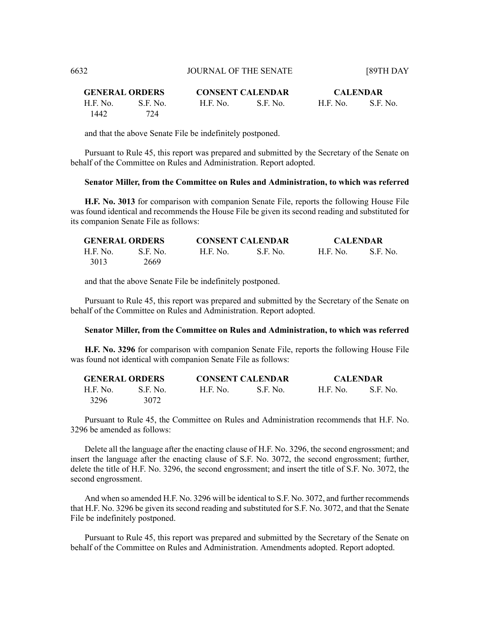| <b>GENERAL ORDERS</b> |          |          | <b>CONSENT CALENDAR</b> |          | <b>CALENDAR</b> |  |
|-----------------------|----------|----------|-------------------------|----------|-----------------|--|
| H.F. No.              | S.E. No. | H.F. No. | S.F. No.                | H.F. No. | S.E. No.        |  |
| 1442                  | 724      |          |                         |          |                 |  |

and that the above Senate File be indefinitely postponed.

Pursuant to Rule 45, this report was prepared and submitted by the Secretary of the Senate on behalf of the Committee on Rules and Administration. Report adopted.

#### **Senator Miller, from the Committee on Rules and Administration, to which was referred**

**H.F. No. 3013** for comparison with companion Senate File, reports the following House File was found identical and recommends the House File be given its second reading and substituted for its companion Senate File as follows:

| <b>GENERAL ORDERS</b> |          | <b>CONSENT CALENDAR</b> |          | <b>CALENDAR</b> |          |
|-----------------------|----------|-------------------------|----------|-----------------|----------|
| H.F. No.              | S.F. No. | <b>H.F. No.</b>         | S.F. No. | <b>H.F. No.</b> | S.F. No. |
| 3013                  | 2669     |                         |          |                 |          |

and that the above Senate File be indefinitely postponed.

Pursuant to Rule 45, this report was prepared and submitted by the Secretary of the Senate on behalf of the Committee on Rules and Administration. Report adopted.

#### **Senator Miller, from the Committee on Rules and Administration, to which was referred**

**H.F. No. 3296** for comparison with companion Senate File, reports the following House File was found not identical with companion Senate File as follows:

| <b>GENERAL ORDERS</b> |          | <b>CONSENT CALENDAR</b> |            | <b>CALENDAR</b> |          |
|-----------------------|----------|-------------------------|------------|-----------------|----------|
| H.F. No.              | S.F. No. | <b>H.F. No.</b>         | - S.F. No. | H.F. No.        | S.F. No. |
| 3296                  | 3072     |                         |            |                 |          |

Pursuant to Rule 45, the Committee on Rules and Administration recommends that H.F. No. 3296 be amended as follows:

Delete all the language after the enacting clause of H.F. No. 3296, the second engrossment; and insert the language after the enacting clause of S.F. No. 3072, the second engrossment; further, delete the title of H.F. No. 3296, the second engrossment; and insert the title of S.F. No. 3072, the second engrossment.

And when so amended H.F. No. 3296 will be identical to S.F. No. 3072, and further recommends that H.F. No. 3296 be given its second reading and substituted for S.F. No. 3072, and that the Senate File be indefinitely postponed.

Pursuant to Rule 45, this report was prepared and submitted by the Secretary of the Senate on behalf of the Committee on Rules and Administration. Amendments adopted. Report adopted.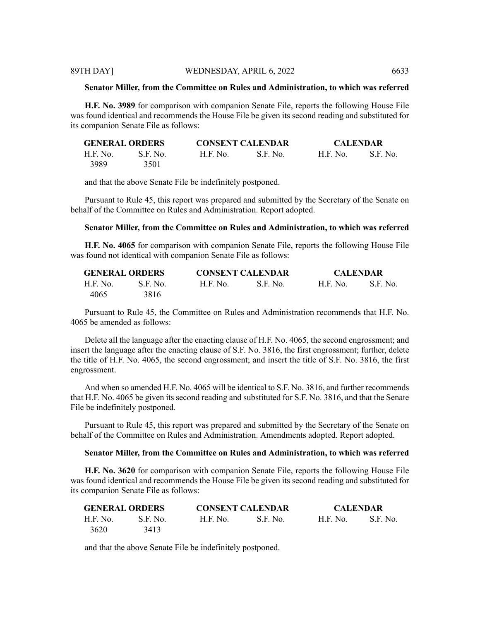### **Senator Miller, from the Committee on Rules and Administration, to which was referred**

**H.F. No. 3989** for comparison with companion Senate File, reports the following House File was found identical and recommends the House File be given its second reading and substituted for its companion Senate File as follows:

| <b>GENERAL ORDERS</b> |            | <b>CONSENT CALENDAR</b> |            | <b>CALENDAR</b> |          |
|-----------------------|------------|-------------------------|------------|-----------------|----------|
| H.F. No.              | - S.F. No. | H.F. No.                | - S.F. No. | <b>H.F. No.</b> | S.F. No. |
| 3989                  | 3501       |                         |            |                 |          |

and that the above Senate File be indefinitely postponed.

Pursuant to Rule 45, this report was prepared and submitted by the Secretary of the Senate on behalf of the Committee on Rules and Administration. Report adopted.

# **Senator Miller, from the Committee on Rules and Administration, to which was referred**

**H.F. No. 4065** for comparison with companion Senate File, reports the following House File was found not identical with companion Senate File as follows:

| <b>GENERAL ORDERS</b> |                 | <b>CONSENT CALENDAR</b> |            | <b>CALENDAR</b> |          |
|-----------------------|-----------------|-------------------------|------------|-----------------|----------|
| H.F. No.              | <b>S.E.</b> No. | H.F. No.                | - S.F. No. | <b>H.F. No.</b> | S.F. No. |
| 4065                  | 3816            |                         |            |                 |          |

Pursuant to Rule 45, the Committee on Rules and Administration recommends that H.F. No. 4065 be amended as follows:

Delete all the language after the enacting clause of H.F. No. 4065, the second engrossment; and insert the language after the enacting clause of S.F. No. 3816, the first engrossment; further, delete the title of H.F. No. 4065, the second engrossment; and insert the title of S.F. No. 3816, the first engrossment.

And when so amended H.F. No. 4065 will be identical to S.F. No. 3816, and further recommends that H.F. No. 4065 be given its second reading and substituted for S.F. No. 3816, and that the Senate File be indefinitely postponed.

Pursuant to Rule 45, this report was prepared and submitted by the Secretary of the Senate on behalf of the Committee on Rules and Administration. Amendments adopted. Report adopted.

## **Senator Miller, from the Committee on Rules and Administration, to which was referred**

**H.F. No. 3620** for comparison with companion Senate File, reports the following House File was found identical and recommends the House File be given its second reading and substituted for its companion Senate File as follows:

| <b>GENERAL ORDERS</b> |          | <b>CONSENT CALENDAR</b> |            | <b>CALENDAR</b> |          |
|-----------------------|----------|-------------------------|------------|-----------------|----------|
| H.F. No.              | S.F. No. | <b>H.F. No.</b>         | - S.F. No. | H.F. No.        | S.F. No. |
| 3620                  | 3413     |                         |            |                 |          |

and that the above Senate File be indefinitely postponed.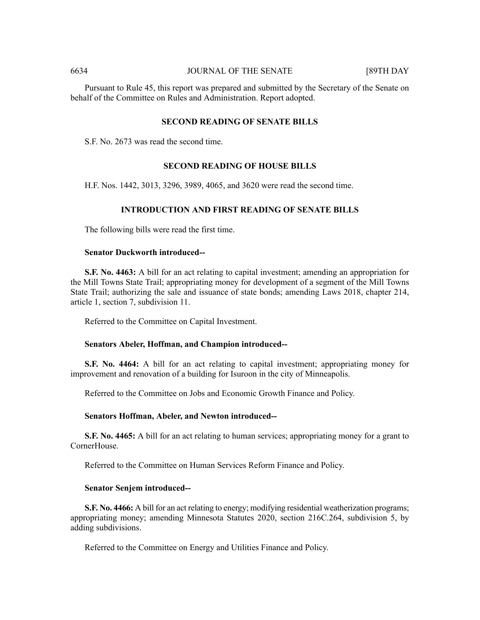Pursuant to Rule 45, this report was prepared and submitted by the Secretary of the Senate on behalf of the Committee on Rules and Administration. Report adopted.

# **SECOND READING OF SENATE BILLS**

S.F. No. 2673 was read the second time.

### **SECOND READING OF HOUSE BILLS**

H.F. Nos. 1442, 3013, 3296, 3989, 4065, and 3620 were read the second time.

# **INTRODUCTION AND FIRST READING OF SENATE BILLS**

The following bills were read the first time.

#### **Senator Duckworth introduced--**

**S.F. No. 4463:** A bill for an act relating to capital investment; amending an appropriation for the Mill Towns State Trail; appropriating money for development of a segment of the Mill Towns State Trail; authorizing the sale and issuance of state bonds; amending Laws 2018, chapter 214, article 1, section 7, subdivision 11.

Referred to the Committee on Capital Investment.

# **Senators Abeler, Hoffman, and Champion introduced--**

**S.F. No. 4464:** A bill for an act relating to capital investment; appropriating money for improvement and renovation of a building for Isuroon in the city of Minneapolis.

Referred to the Committee on Jobs and Economic Growth Finance and Policy.

#### **Senators Hoffman, Abeler, and Newton introduced--**

**S.F. No. 4465:** A bill for an act relating to human services; appropriating money for a grant to CornerHouse.

Referred to the Committee on Human Services Reform Finance and Policy.

#### **Senator Senjem introduced--**

**S.F. No. 4466:** A bill for an act relating to energy; modifying residential weatherization programs; appropriating money; amending Minnesota Statutes 2020, section 216C.264, subdivision 5, by adding subdivisions.

Referred to the Committee on Energy and Utilities Finance and Policy.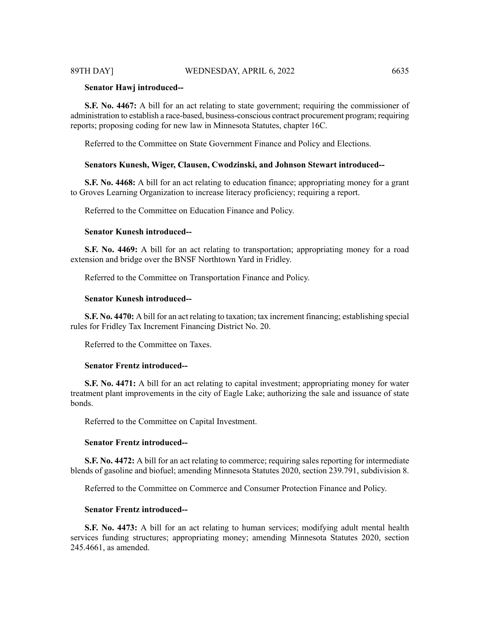### **Senator Hawj introduced--**

**S.F. No. 4467:** A bill for an act relating to state government; requiring the commissioner of administration to establish a race-based, business-conscious contract procurement program; requiring reports; proposing coding for new law in Minnesota Statutes, chapter 16C.

Referred to the Committee on State Government Finance and Policy and Elections.

### **Senators Kunesh, Wiger, Clausen, Cwodzinski, and Johnson Stewart introduced--**

**S.F. No. 4468:** A bill for an act relating to education finance; appropriating money for a grant to Groves Learning Organization to increase literacy proficiency; requiring a report.

Referred to the Committee on Education Finance and Policy.

#### **Senator Kunesh introduced--**

**S.F. No. 4469:** A bill for an act relating to transportation; appropriating money for a road extension and bridge over the BNSF Northtown Yard in Fridley.

Referred to the Committee on Transportation Finance and Policy.

# **Senator Kunesh introduced--**

**S.F. No. 4470:** A bill for an act relating to taxation; tax increment financing; establishing special rules for Fridley Tax Increment Financing District No. 20.

Referred to the Committee on Taxes.

#### **Senator Frentz introduced--**

**S.F. No. 4471:** A bill for an act relating to capital investment; appropriating money for water treatment plant improvements in the city of Eagle Lake; authorizing the sale and issuance of state bonds.

Referred to the Committee on Capital Investment.

#### **Senator Frentz introduced--**

**S.F. No. 4472:** A bill for an act relating to commerce; requiring sales reporting for intermediate blends of gasoline and biofuel; amending Minnesota Statutes 2020, section 239.791, subdivision 8.

Referred to the Committee on Commerce and Consumer Protection Finance and Policy.

#### **Senator Frentz introduced--**

**S.F. No. 4473:** A bill for an act relating to human services; modifying adult mental health services funding structures; appropriating money; amending Minnesota Statutes 2020, section 245.4661, as amended.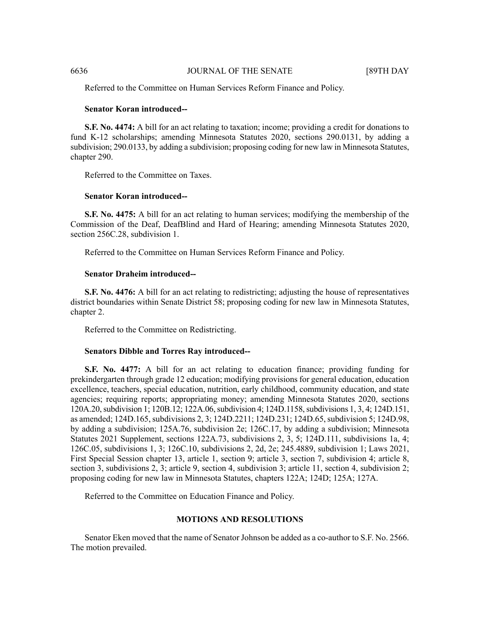Referred to the Committee on Human Services Reform Finance and Policy.

### **Senator Koran introduced--**

**S.F. No. 4474:** A bill for an act relating to taxation; income; providing a credit for donations to fund K-12 scholarships; amending Minnesota Statutes 2020, sections 290.0131, by adding a subdivision; 290.0133, by adding a subdivision; proposing coding for new law in Minnesota Statutes, chapter 290.

Referred to the Committee on Taxes.

#### **Senator Koran introduced--**

**S.F. No. 4475:** A bill for an act relating to human services; modifying the membership of the Commission of the Deaf, DeafBlind and Hard of Hearing; amending Minnesota Statutes 2020, section 256C.28, subdivision 1.

Referred to the Committee on Human Services Reform Finance and Policy.

# **Senator Draheim introduced--**

**S.F. No. 4476:** A bill for an act relating to redistricting; adjusting the house of representatives district boundaries within Senate District 58; proposing coding for new law in Minnesota Statutes, chapter 2.

Referred to the Committee on Redistricting.

#### **Senators Dibble and Torres Ray introduced--**

**S.F. No. 4477:** A bill for an act relating to education finance; providing funding for prekindergarten through grade 12 education; modifying provisions for general education, education excellence, teachers, special education, nutrition, early childhood, community education, and state agencies; requiring reports; appropriating money; amending Minnesota Statutes 2020, sections 120A.20, subdivision 1; 120B.12; 122A.06, subdivision 4; 124D.1158, subdivisions 1, 3, 4; 124D.151, as amended; 124D.165,subdivisions 2, 3; 124D.2211; 124D.231; 124D.65,subdivision 5; 124D.98, by adding a subdivision; 125A.76, subdivision 2e; 126C.17, by adding a subdivision; Minnesota Statutes 2021 Supplement, sections 122A.73, subdivisions 2, 3, 5; 124D.111, subdivisions 1a, 4; 126C.05, subdivisions 1, 3; 126C.10, subdivisions 2, 2d, 2e; 245.4889, subdivision 1; Laws 2021, First Special Session chapter 13, article 1, section 9; article 3, section 7, subdivision 4; article 8, section 3, subdivisions 2, 3; article 9, section 4, subdivision 3; article 11, section 4, subdivision 2; proposing coding for new law in Minnesota Statutes, chapters 122A; 124D; 125A; 127A.

Referred to the Committee on Education Finance and Policy.

#### **MOTIONS AND RESOLUTIONS**

Senator Eken moved that the name of Senator Johnson be added as a co-author to S.F. No. 2566. The motion prevailed.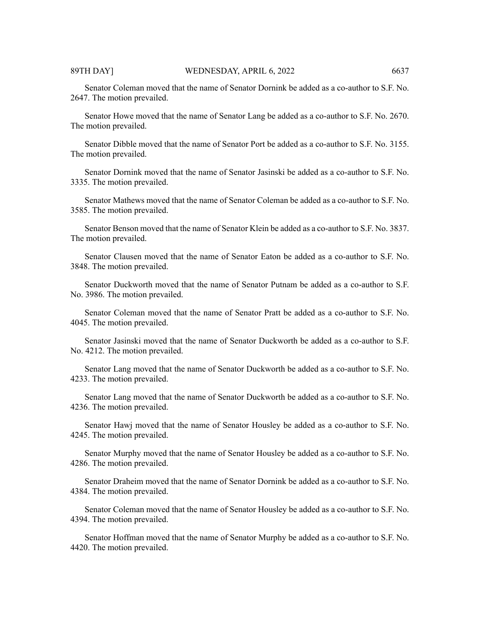Senator Coleman moved that the name of Senator Dornink be added as a co-author to S.F. No. 2647. The motion prevailed.

Senator Howe moved that the name of Senator Lang be added as a co-author to S.F. No. 2670. The motion prevailed.

Senator Dibble moved that the name of Senator Port be added as a co-author to S.F. No. 3155. The motion prevailed.

Senator Dornink moved that the name of Senator Jasinski be added as a co-author to S.F. No. 3335. The motion prevailed.

Senator Mathews moved that the name of Senator Coleman be added as a co-author to S.F. No. 3585. The motion prevailed.

Senator Benson moved that the name of Senator Klein be added as a co-author to S.F. No. 3837. The motion prevailed.

Senator Clausen moved that the name of Senator Eaton be added as a co-author to S.F. No. 3848. The motion prevailed.

Senator Duckworth moved that the name of Senator Putnam be added as a co-author to S.F. No. 3986. The motion prevailed.

Senator Coleman moved that the name of Senator Pratt be added as a co-author to S.F. No. 4045. The motion prevailed.

Senator Jasinski moved that the name of Senator Duckworth be added as a co-author to S.F. No. 4212. The motion prevailed.

Senator Lang moved that the name of Senator Duckworth be added as a co-author to S.F. No. 4233. The motion prevailed.

Senator Lang moved that the name of Senator Duckworth be added as a co-author to S.F. No. 4236. The motion prevailed.

Senator Hawj moved that the name of Senator Housley be added as a co-author to S.F. No. 4245. The motion prevailed.

Senator Murphy moved that the name of Senator Housley be added as a co-author to S.F. No. 4286. The motion prevailed.

Senator Draheim moved that the name of Senator Dornink be added as a co-author to S.F. No. 4384. The motion prevailed.

Senator Coleman moved that the name of Senator Housley be added as a co-author to S.F. No. 4394. The motion prevailed.

Senator Hoffman moved that the name of Senator Murphy be added as a co-author to S.F. No. 4420. The motion prevailed.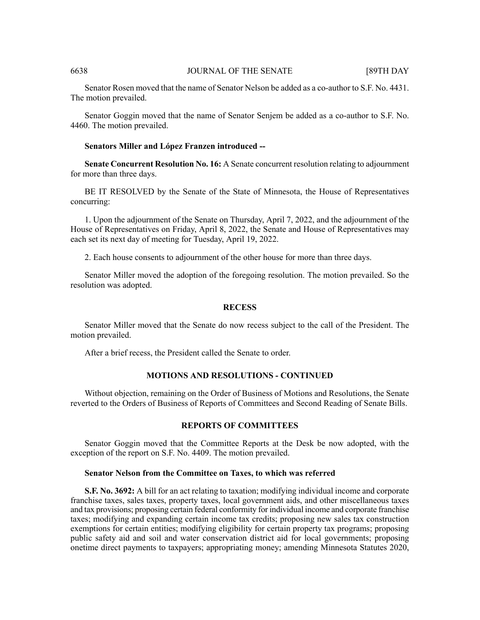Senator Rosen moved that the name of Senator Nelson be added as a co-author to S.F. No. 4431. The motion prevailed.

Senator Goggin moved that the name of Senator Senjem be added as a co-author to S.F. No. 4460. The motion prevailed.

# **Senators Miller and López Franzen introduced --**

**Senate Concurrent Resolution No. 16:** A Senate concurrent resolution relating to adjournment for more than three days.

BE IT RESOLVED by the Senate of the State of Minnesota, the House of Representatives concurring:

1. Upon the adjournment of the Senate on Thursday, April 7, 2022, and the adjournment of the House of Representatives on Friday, April 8, 2022, the Senate and House of Representatives may each set its next day of meeting for Tuesday, April 19, 2022.

2. Each house consents to adjournment of the other house for more than three days.

Senator Miller moved the adoption of the foregoing resolution. The motion prevailed. So the resolution was adopted.

#### **RECESS**

Senator Miller moved that the Senate do now recess subject to the call of the President. The motion prevailed.

After a brief recess, the President called the Senate to order.

# **MOTIONS AND RESOLUTIONS - CONTINUED**

Without objection, remaining on the Order of Business of Motions and Resolutions, the Senate reverted to the Orders of Business of Reports of Committees and Second Reading of Senate Bills.

# **REPORTS OF COMMITTEES**

Senator Goggin moved that the Committee Reports at the Desk be now adopted, with the exception of the report on S.F. No. 4409. The motion prevailed.

### **Senator Nelson from the Committee on Taxes, to which was referred**

**S.F. No. 3692:** A bill for an act relating to taxation; modifying individual income and corporate franchise taxes, sales taxes, property taxes, local government aids, and other miscellaneous taxes and tax provisions; proposing certain federal conformity for individual income and corporate franchise taxes; modifying and expanding certain income tax credits; proposing new sales tax construction exemptions for certain entities; modifying eligibility for certain property tax programs; proposing public safety aid and soil and water conservation district aid for local governments; proposing onetime direct payments to taxpayers; appropriating money; amending Minnesota Statutes 2020,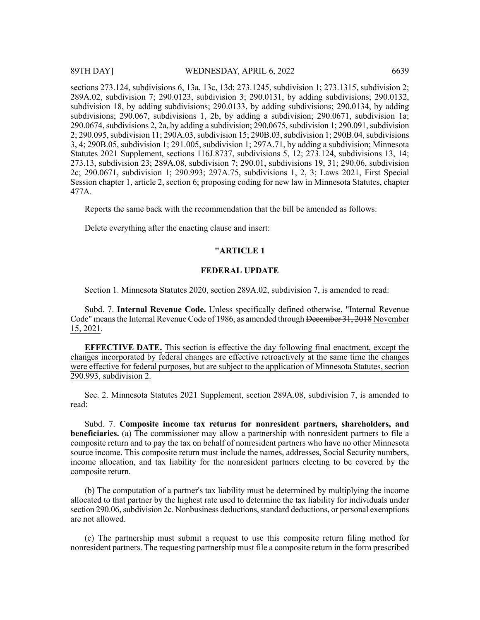sections 273.124, subdivisions 6, 13a, 13c, 13d; 273.1245, subdivision 1; 273.1315, subdivision 2; 289A.02, subdivision 7; 290.0123, subdivision 3; 290.0131, by adding subdivisions; 290.0132, subdivision 18, by adding subdivisions; 290.0133, by adding subdivisions; 290.0134, by adding subdivisions; 290.067, subdivisions 1, 2b, by adding a subdivision; 290.0671, subdivision 1a;  $290.0674$ , subdivisions 2, 2a, by adding a subdivision;  $290.0675$ , subdivision 1; 290.091, subdivision 2; 290.095, subdivision 11; 290A.03, subdivision 15; 290B.03, subdivision 1; 290B.04, subdivisions 3, 4; 290B.05, subdivision 1; 291.005, subdivision 1; 297A.71, by adding a subdivision; Minnesota Statutes 2021 Supplement, sections 116J.8737, subdivisions 5, 12; 273.124, subdivisions 13, 14; 273.13, subdivision 23; 289A.08, subdivision 7; 290.01, subdivisions 19, 31; 290.06, subdivision 2c; 290.0671, subdivision 1; 290.993; 297A.75, subdivisions 1, 2, 3; Laws 2021, First Special Session chapter 1, article 2, section 6; proposing coding for new law in Minnesota Statutes, chapter 477A.

Reports the same back with the recommendation that the bill be amended as follows:

Delete everything after the enacting clause and insert:

# **"ARTICLE 1**

#### **FEDERAL UPDATE**

Section 1. Minnesota Statutes 2020, section 289A.02, subdivision 7, is amended to read:

Subd. 7. **Internal Revenue Code.** Unless specifically defined otherwise, "Internal Revenue Code" means the Internal Revenue Code of 1986, as amended through December 31, 2018 November 15, 2021.

**EFFECTIVE DATE.** This section is effective the day following final enactment, except the changes incorporated by federal changes are effective retroactively at the same time the changes were effective for federal purposes, but are subject to the application of Minnesota Statutes, section 290.993, subdivision 2.

Sec. 2. Minnesota Statutes 2021 Supplement, section 289A.08, subdivision 7, is amended to read:

Subd. 7. **Composite income tax returns for nonresident partners, shareholders, and beneficiaries.** (a) The commissioner may allow a partnership with nonresident partners to file a composite return and to pay the tax on behalf of nonresident partners who have no other Minnesota source income. This composite return must include the names, addresses, Social Security numbers, income allocation, and tax liability for the nonresident partners electing to be covered by the composite return.

(b) The computation of a partner's tax liability must be determined by multiplying the income allocated to that partner by the highest rate used to determine the tax liability for individuals under section 290.06, subdivision 2c. Nonbusiness deductions, standard deductions, or personal exemptions are not allowed.

(c) The partnership must submit a request to use this composite return filing method for nonresident partners. The requesting partnership must file a composite return in the form prescribed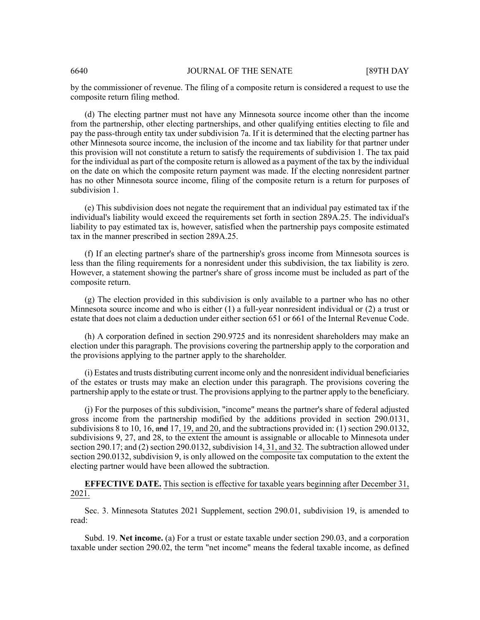by the commissioner of revenue. The filing of a composite return is considered a request to use the composite return filing method.

(d) The electing partner must not have any Minnesota source income other than the income from the partnership, other electing partnerships, and other qualifying entities electing to file and pay the pass-through entity tax under subdivision 7a. If it is determined that the electing partner has other Minnesota source income, the inclusion of the income and tax liability for that partner under this provision will not constitute a return to satisfy the requirements of subdivision 1. The tax paid for the individual as part of the composite return is allowed as a payment of the tax by the individual on the date on which the composite return payment was made. If the electing nonresident partner has no other Minnesota source income, filing of the composite return is a return for purposes of subdivision 1.

(e) This subdivision does not negate the requirement that an individual pay estimated tax if the individual's liability would exceed the requirements set forth in section 289A.25. The individual's liability to pay estimated tax is, however, satisfied when the partnership pays composite estimated tax in the manner prescribed in section 289A.25.

(f) If an electing partner's share of the partnership's gross income from Minnesota sources is less than the filing requirements for a nonresident under this subdivision, the tax liability is zero. However, a statement showing the partner's share of gross income must be included as part of the composite return.

(g) The election provided in this subdivision is only available to a partner who has no other Minnesota source income and who is either (1) a full-year nonresident individual or (2) a trust or estate that does not claim a deduction under either section 651 or 661 of the Internal Revenue Code.

(h) A corporation defined in section 290.9725 and its nonresident shareholders may make an election under this paragraph. The provisions covering the partnership apply to the corporation and the provisions applying to the partner apply to the shareholder.

(i) Estates and trusts distributing current income only and the nonresident individual beneficiaries of the estates or trusts may make an election under this paragraph. The provisions covering the partnership apply to the estate or trust. The provisions applying to the partner apply to the beneficiary.

(j) For the purposes of this subdivision, "income" means the partner's share of federal adjusted gross income from the partnership modified by the additions provided in section 290.0131, subdivisions 8 to 10, 16,  $\frac{d}{dt}$  17, 19, and 20, and the subtractions provided in: (1) section 290.0132, subdivisions 9, 27, and 28, to the extent the amount is assignable or allocable to Minnesota under section 290.17; and (2) section 290.0132, subdivision 14, 31, and 32. The subtraction allowed under section 290.0132, subdivision 9, is only allowed on the composite tax computation to the extent the electing partner would have been allowed the subtraction.

# **EFFECTIVE DATE.** This section is effective for taxable years beginning after December 31, 2021.

Sec. 3. Minnesota Statutes 2021 Supplement, section 290.01, subdivision 19, is amended to read:

Subd. 19. **Net income.** (a) For a trust or estate taxable under section 290.03, and a corporation taxable under section 290.02, the term "net income" means the federal taxable income, as defined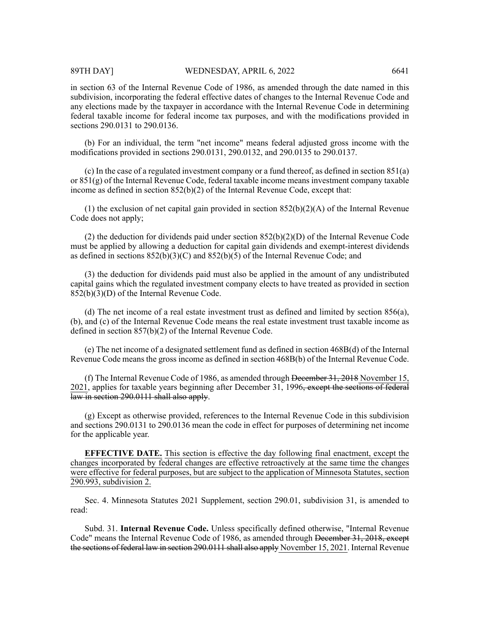in section 63 of the Internal Revenue Code of 1986, as amended through the date named in this subdivision, incorporating the federal effective dates of changes to the Internal Revenue Code and any elections made by the taxpayer in accordance with the Internal Revenue Code in determining federal taxable income for federal income tax purposes, and with the modifications provided in sections 290.0131 to 290.0136.

(b) For an individual, the term "net income" means federal adjusted gross income with the modifications provided in sections 290.0131, 290.0132, and 290.0135 to 290.0137.

(c) In the case of a regulated investment company or a fund thereof, as defined in section 851(a) or 851(g) of the Internal Revenue Code, federal taxable income means investment company taxable income as defined in section 852(b)(2) of the Internal Revenue Code, except that:

(1) the exclusion of net capital gain provided in section  $852(b)(2)(A)$  of the Internal Revenue Code does not apply;

(2) the deduction for dividends paid under section 852(b)(2)(D) of the Internal Revenue Code must be applied by allowing a deduction for capital gain dividends and exempt-interest dividends as defined in sections 852(b)(3)(C) and 852(b)(5) of the Internal Revenue Code; and

(3) the deduction for dividends paid must also be applied in the amount of any undistributed capital gains which the regulated investment company elects to have treated as provided in section  $852(b)(3)(D)$  of the Internal Revenue Code.

(d) The net income of a real estate investment trust as defined and limited by section 856(a), (b), and (c) of the Internal Revenue Code means the real estate investment trust taxable income as defined in section 857(b)(2) of the Internal Revenue Code.

(e) The net income of a designated settlement fund as defined in section 468B(d) of the Internal Revenue Code means the gross income as defined in section 468B(b) of the Internal Revenue Code.

(f) The Internal Revenue Code of 1986, as amended through December 31, 2018 November 15, 2021, applies for taxable years beginning after December 31, 1996<del>, except the sections of federal</del> law in section 290.0111 shall also apply.

(g) Except as otherwise provided, references to the Internal Revenue Code in this subdivision and sections 290.0131 to 290.0136 mean the code in effect for purposes of determining net income for the applicable year.

**EFFECTIVE DATE.** This section is effective the day following final enactment, except the changes incorporated by federal changes are effective retroactively at the same time the changes were effective for federal purposes, but are subject to the application of Minnesota Statutes, section 290.993, subdivision 2.

Sec. 4. Minnesota Statutes 2021 Supplement, section 290.01, subdivision 31, is amended to read:

Subd. 31. **Internal Revenue Code.** Unless specifically defined otherwise, "Internal Revenue Code" means the Internal Revenue Code of 1986, as amended through <del>December 31, 2018, except</del> the sections of federal law in section 290.0111 shall also apply November 15, 2021. Internal Revenue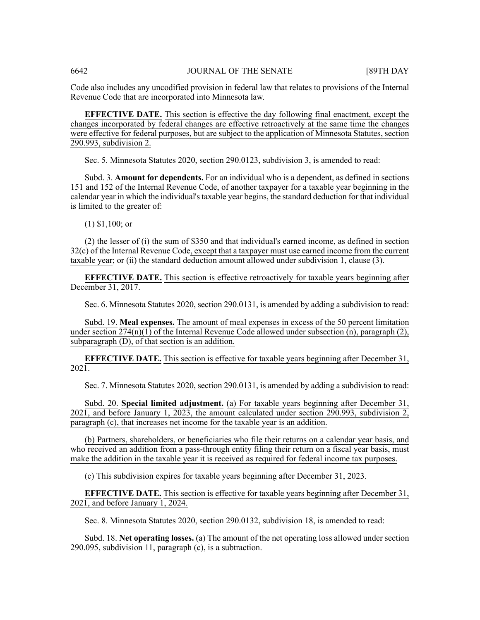Code also includes any uncodified provision in federal law that relates to provisions of the Internal Revenue Code that are incorporated into Minnesota law.

**EFFECTIVE DATE.** This section is effective the day following final enactment, except the changes incorporated by federal changes are effective retroactively at the same time the changes were effective for federal purposes, but are subject to the application of Minnesota Statutes, section 290.993, subdivision 2.

Sec. 5. Minnesota Statutes 2020, section 290.0123, subdivision 3, is amended to read:

Subd. 3. **Amount for dependents.** For an individual who is a dependent, as defined in sections 151 and 152 of the Internal Revenue Code, of another taxpayer for a taxable year beginning in the calendar year in which the individual'staxable year begins, the standard deduction for that individual is limited to the greater of:

(1) \$1,100; or

(2) the lesser of (i) the sum of \$350 and that individual's earned income, as defined in section 32(c) of the Internal Revenue Code, except that a taxpayer must use earned income from the current taxable year; or (ii) the standard deduction amount allowed under subdivision 1, clause (3).

**EFFECTIVE DATE.** This section is effective retroactively for taxable years beginning after December 31, 2017.

Sec. 6. Minnesota Statutes 2020, section 290.0131, is amended by adding a subdivision to read:

Subd. 19. **Meal expenses.** The amount of meal expenses in excess of the 50 percent limitation under section  $274(n)(1)$  of the Internal Revenue Code allowed under subsection (n), paragraph (2), subparagraph (D), of that section is an addition.

**EFFECTIVE DATE.** This section is effective for taxable years beginning after December 31, 2021.

Sec. 7. Minnesota Statutes 2020, section 290.0131, is amended by adding a subdivision to read:

Subd. 20. **Special limited adjustment.** (a) For taxable years beginning after December 31, 2021, and before January 1, 2023, the amount calculated under section 290.993, subdivision 2, paragraph (c), that increases net income for the taxable year is an addition.

(b) Partners, shareholders, or beneficiaries who file their returns on a calendar year basis, and who received an addition from a pass-through entity filing their return on a fiscal year basis, must make the addition in the taxable year it is received as required for federal income tax purposes.

(c) This subdivision expires for taxable years beginning after December 31, 2023.

**EFFECTIVE DATE.** This section is effective for taxable years beginning after December 31,  $202\overline{1}$ , and before January 1, 2024.

Sec. 8. Minnesota Statutes 2020, section 290.0132, subdivision 18, is amended to read:

Subd. 18. **Net operating losses.** (a) The amount of the net operating loss allowed under section 290.095, subdivision 11, paragraph  $(c)$ , is a subtraction.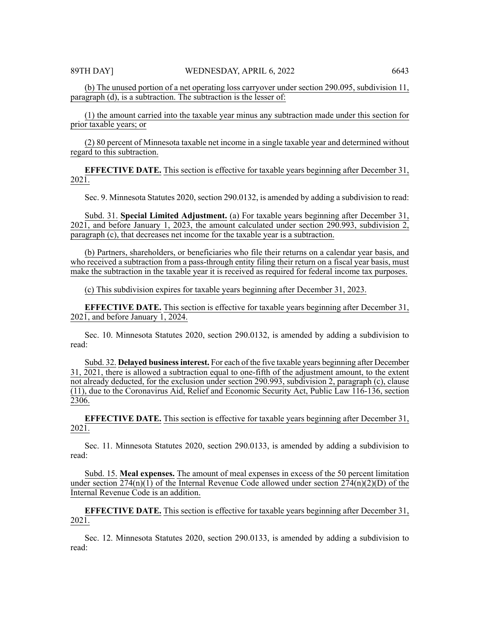(b) The unused portion of a net operating loss carryover under section 290.095, subdivision 11, paragraph (d), is a subtraction. The subtraction is the lesser of:

(1) the amount carried into the taxable year minus any subtraction made under this section for prior taxable years; or

(2) 80 percent of Minnesota taxable net income in a single taxable year and determined without regard to this subtraction.

**EFFECTIVE DATE.** This section is effective for taxable years beginning after December 31, 2021.

Sec. 9. Minnesota Statutes 2020, section 290.0132, is amended by adding a subdivision to read:

Subd. 31. **Special Limited Adjustment.** (a) For taxable years beginning after December 31, 2021, and before January 1, 2023, the amount calculated under section 290.993, subdivision 2, paragraph (c), that decreases net income for the taxable year is a subtraction.

(b) Partners, shareholders, or beneficiaries who file their returns on a calendar year basis, and who received a subtraction from a pass-through entity filing their return on a fiscal year basis, must make the subtraction in the taxable year it is received as required for federal income tax purposes.

(c) This subdivision expires for taxable years beginning after December 31, 2023.

**EFFECTIVE DATE.** This section is effective for taxable years beginning after December 31, 2021, and before January 1, 2024.

Sec. 10. Minnesota Statutes 2020, section 290.0132, is amended by adding a subdivision to read:

Subd. 32. **Delayed businessinterest.** For each of the five taxable years beginning after December 31, 2021, there is allowed a subtraction equal to one-fifth of the adjustment amount, to the extent not already deducted, for the exclusion under section 290.993, subdivision 2, paragraph (c), clause (11), due to the Coronavirus Aid, Relief and Economic Security Act, Public Law 116-136, section 2306.

**EFFECTIVE DATE.** This section is effective for taxable years beginning after December 31, 2021.

Sec. 11. Minnesota Statutes 2020, section 290.0133, is amended by adding a subdivision to read:

Subd. 15. **Meal expenses.** The amount of meal expenses in excess of the 50 percent limitation under section 274(n)(1) of the Internal Revenue Code allowed under section  $274(n)(2)(D)$  of the Internal Revenue Code is an addition.

**EFFECTIVE DATE.** This section is effective for taxable years beginning after December 31, 2021.

Sec. 12. Minnesota Statutes 2020, section 290.0133, is amended by adding a subdivision to read: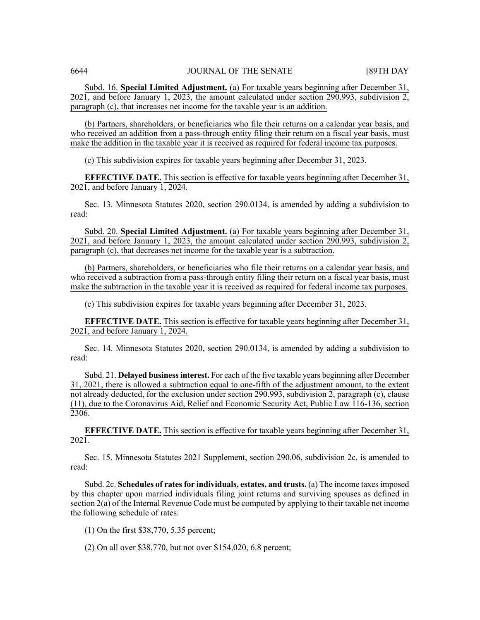Subd. 16. **Special Limited Adjustment.** (a) For taxable years beginning after December 31, 2021, and before January 1, 2023, the amount calculated under section 290.993, subdivision 2, paragraph (c), that increases net income for the taxable year is an addition.

(b) Partners, shareholders, or beneficiaries who file their returns on a calendar year basis, and who received an addition from a pass-through entity filing their return on a fiscal year basis, must make the addition in the taxable year it is received as required for federal income tax purposes.

(c) This subdivision expires for taxable years beginning after December 31, 2023.

**EFFECTIVE DATE.** This section is effective for taxable years beginning after December 31,  $202\overline{1}$ , and before January 1, 2024.

Sec. 13. Minnesota Statutes 2020, section 290.0134, is amended by adding a subdivision to read:

Subd. 20. **Special Limited Adjustment.** (a) For taxable years beginning after December 31, 2021, and before January 1, 2023, the amount calculated under section 290.993, subdivision 2, paragraph (c), that decreases net income for the taxable year is a subtraction.

(b) Partners, shareholders, or beneficiaries who file their returns on a calendar year basis, and who received a subtraction from a pass-through entity filing their return on a fiscal year basis, must make the subtraction in the taxable year it is received as required for federal income tax purposes.

(c) This subdivision expires for taxable years beginning after December 31, 2023.

**EFFECTIVE DATE.** This section is effective for taxable years beginning after December 31,  $202\overline{1}$ , and before January 1, 2024.

Sec. 14. Minnesota Statutes 2020, section 290.0134, is amended by adding a subdivision to read:

Subd. 21. **Delayed businessinterest.** For each of the five taxable years beginning after December 31, 2021, there is allowed a subtraction equal to one-fifth of the adjustment amount, to the extent not already deducted, for the exclusion under section 290.993, subdivision 2, paragraph (c), clause (11), due to the Coronavirus Aid, Relief and Economic Security Act, Public Law 116-136, section 2306.

**EFFECTIVE DATE.** This section is effective for taxable years beginning after December 31, 2021.

Sec. 15. Minnesota Statutes 2021 Supplement, section 290.06, subdivision 2c, is amended to read:

Subd. 2c. **Schedules of ratesfor individuals, estates, and trusts.** (a) The income taxesimposed by this chapter upon married individuals filing joint returns and surviving spouses as defined in section 2(a) of the Internal Revenue Code must be computed by applying to their taxable net income the following schedule of rates:

(1) On the first \$38,770, 5.35 percent;

(2) On all over \$38,770, but not over \$154,020, 6.8 percent;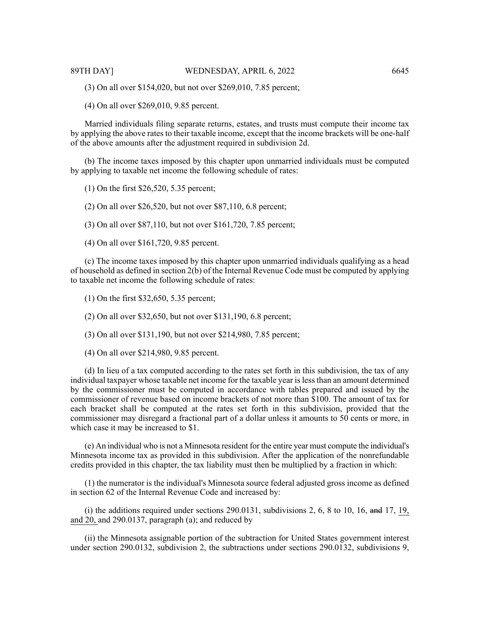(3) On all over \$154,020, but not over \$269,010, 7.85 percent;

(4) On all over \$269,010, 9.85 percent.

Married individuals filing separate returns, estates, and trusts must compute their income tax by applying the above rates to their taxable income, except that the income brackets will be one-half of the above amounts after the adjustment required in subdivision 2d.

(b) The income taxes imposed by this chapter upon unmarried individuals must be computed by applying to taxable net income the following schedule of rates:

(1) On the first \$26,520, 5.35 percent;

(2) On all over \$26,520, but not over \$87,110, 6.8 percent;

(3) On all over \$87,110, but not over \$161,720, 7.85 percent;

(4) On all over \$161,720, 9.85 percent.

(c) The income taxes imposed by this chapter upon unmarried individuals qualifying as a head of household as defined in section 2(b) of the Internal Revenue Code must be computed by applying to taxable net income the following schedule of rates:

(1) On the first \$32,650, 5.35 percent;

(2) On all over \$32,650, but not over \$131,190, 6.8 percent;

(3) On all over \$131,190, but not over \$214,980, 7.85 percent;

(4) On all over \$214,980, 9.85 percent.

(d) In lieu of a tax computed according to the rates set forth in this subdivision, the tax of any individual taxpayer whose taxable net income for the taxable year islessthan an amount determined by the commissioner must be computed in accordance with tables prepared and issued by the commissioner of revenue based on income brackets of not more than \$100. The amount of tax for each bracket shall be computed at the rates set forth in this subdivision, provided that the commissioner may disregard a fractional part of a dollar unless it amounts to 50 cents or more, in which case it may be increased to \$1.

(e) An individual who is not a Minnesota resident for the entire year must compute the individual's Minnesota income tax as provided in this subdivision. After the application of the nonrefundable credits provided in this chapter, the tax liability must then be multiplied by a fraction in which:

(1) the numerator is the individual's Minnesota source federal adjusted gross income as defined in section 62 of the Internal Revenue Code and increased by:

(i) the additions required under sections 290.0131, subdivisions 2, 6, 8 to 10, 16, and 17, 19, and 20, and 290.0137, paragraph (a); and reduced by

(ii) the Minnesota assignable portion of the subtraction for United States government interest under section 290.0132, subdivision 2, the subtractions under sections 290.0132, subdivisions 9,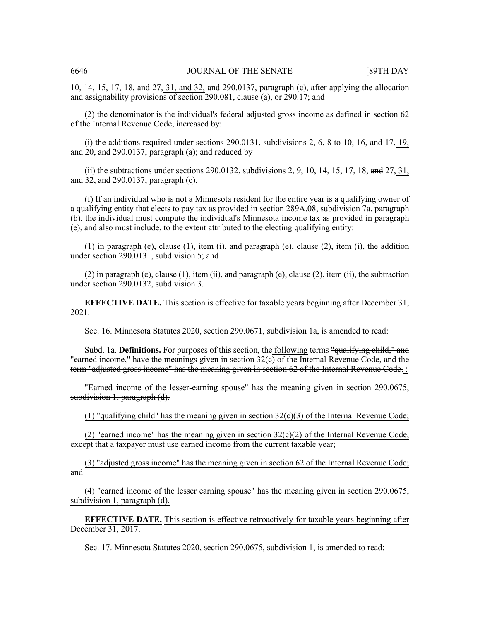10, 14, 15, 17, 18, and 27, 31, and 32, and 290.0137, paragraph (c), after applying the allocation and assignability provisions of section 290.081, clause (a), or 290.17; and

(2) the denominator is the individual's federal adjusted gross income as defined in section 62 of the Internal Revenue Code, increased by:

(i) the additions required under sections 290.0131, subdivisions 2, 6, 8 to 10, 16, and 17, 19, and 20, and 290.0137, paragraph (a); and reduced by

(ii) the subtractions under sections  $290.0132$ , subdivisions 2, 9, 10, 14, 15, 17, 18, and 27, 31, and 32, and 290.0137, paragraph (c).

(f) If an individual who is not a Minnesota resident for the entire year is a qualifying owner of a qualifying entity that elects to pay tax as provided in section 289A.08, subdivision 7a, paragraph (b), the individual must compute the individual's Minnesota income tax as provided in paragraph (e), and also must include, to the extent attributed to the electing qualifying entity:

(1) in paragraph (e), clause (1), item (i), and paragraph (e), clause (2), item (i), the addition under section 290.0131, subdivision 5; and

(2) in paragraph (e), clause (1), item (ii), and paragraph (e), clause (2), item (ii), the subtraction under section 290.0132, subdivision 3.

**EFFECTIVE DATE.** This section is effective for taxable years beginning after December 31, 2021.

Sec. 16. Minnesota Statutes 2020, section 290.0671, subdivision 1a, is amended to read:

Subd. 1a. **Definitions.** For purposes of this section, the following terms "qualifying child," and "earned income," have the meanings given in section  $32(e)$  of the Internal Revenue Code, and the term "adjusted gross income" has the meaning given in section 62 of the Internal Revenue Code. :

"Earned income of the lesser-earning spouse" has the meaning given in section 290.0675, subdivision 1, paragraph (d).

(1) "qualifying child" has the meaning given in section  $32(c)(3)$  of the Internal Revenue Code;

(2) "earned income" has the meaning given in section  $32(c)(2)$  of the Internal Revenue Code, except that a taxpayer must use earned income from the current taxable year;

(3) "adjusted gross income" has the meaning given in section 62 of the Internal Revenue Code; and

(4) "earned income of the lesser earning spouse" has the meaning given in section 290.0675, subdivision 1, paragraph (d).

**EFFECTIVE DATE.** This section is effective retroactively for taxable years beginning after December 31, 2017.

Sec. 17. Minnesota Statutes 2020, section 290.0675, subdivision 1, is amended to read: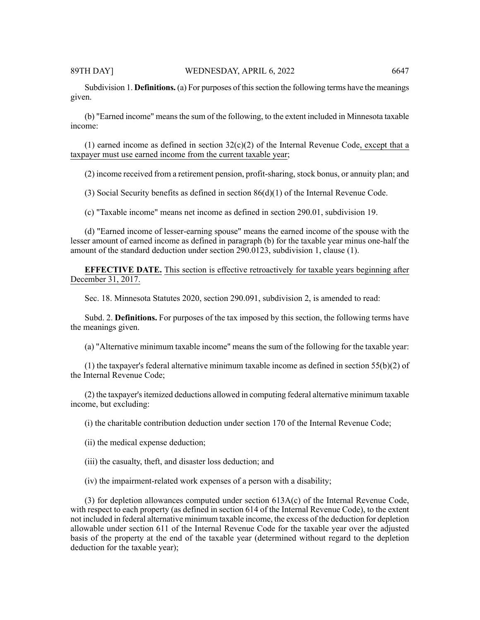Subdivision 1. **Definitions.** (a) For purposes of this section the following terms have the meanings given.

(b) "Earned income" meansthe sum of the following, to the extent included in Minnesota taxable income:

(1) earned income as defined in section  $32(c)(2)$  of the Internal Revenue Code, except that a taxpayer must use earned income from the current taxable year;

(2) income received from a retirement pension, profit-sharing, stock bonus, or annuity plan; and

(3) Social Security benefits as defined in section 86(d)(1) of the Internal Revenue Code.

(c) "Taxable income" means net income as defined in section 290.01, subdivision 19.

(d) "Earned income of lesser-earning spouse" means the earned income of the spouse with the lesser amount of earned income as defined in paragraph (b) for the taxable year minus one-half the amount of the standard deduction under section 290.0123, subdivision 1, clause (1).

**EFFECTIVE DATE.** This section is effective retroactively for taxable years beginning after December 31, 2017.

Sec. 18. Minnesota Statutes 2020, section 290.091, subdivision 2, is amended to read:

Subd. 2. **Definitions.** For purposes of the tax imposed by this section, the following terms have the meanings given.

(a) "Alternative minimum taxable income" means the sum of the following for the taxable year:

(1) the taxpayer's federal alternative minimum taxable income as defined in section 55(b)(2) of the Internal Revenue Code;

 $(2)$  the taxpayer's itemized deductions allowed in computing federal alternative minimum taxable income, but excluding:

(i) the charitable contribution deduction under section 170 of the Internal Revenue Code;

(ii) the medical expense deduction;

(iii) the casualty, theft, and disaster loss deduction; and

(iv) the impairment-related work expenses of a person with a disability;

(3) for depletion allowances computed under section 613A(c) of the Internal Revenue Code, with respect to each property (as defined in section 614 of the Internal Revenue Code), to the extent not included in federal alternative minimum taxable income, the excess of the deduction for depletion allowable under section 611 of the Internal Revenue Code for the taxable year over the adjusted basis of the property at the end of the taxable year (determined without regard to the depletion deduction for the taxable year);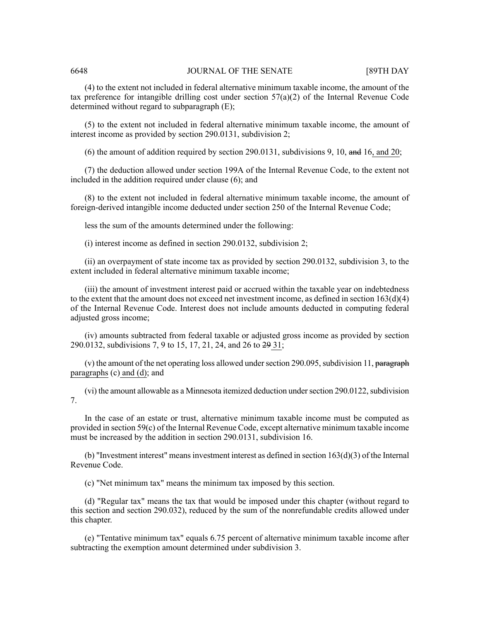(4) to the extent not included in federal alternative minimum taxable income, the amount of the tax preference for intangible drilling cost under section  $57(a)(2)$  of the Internal Revenue Code determined without regard to subparagraph (E);

(5) to the extent not included in federal alternative minimum taxable income, the amount of interest income as provided by section 290.0131, subdivision 2;

(6) the amount of addition required by section 290.0131, subdivisions 9, 10, and 16, and 20;

(7) the deduction allowed under section 199A of the Internal Revenue Code, to the extent not included in the addition required under clause (6); and

(8) to the extent not included in federal alternative minimum taxable income, the amount of foreign-derived intangible income deducted under section 250 of the Internal Revenue Code;

less the sum of the amounts determined under the following:

(i) interest income as defined in section 290.0132, subdivision 2;

(ii) an overpayment of state income tax as provided by section 290.0132, subdivision 3, to the extent included in federal alternative minimum taxable income;

(iii) the amount of investment interest paid or accrued within the taxable year on indebtedness to the extent that the amount does not exceed net investment income, as defined in section  $163(d)(4)$ of the Internal Revenue Code. Interest does not include amounts deducted in computing federal adjusted gross income;

(iv) amounts subtracted from federal taxable or adjusted gross income as provided by section 290.0132, subdivisions 7, 9 to 15, 17, 21, 24, and 26 to 29 31;

(v) the amount of the net operating loss allowed under section 290.095, subdivision 11, paragraph paragraphs (c) and (d); and

 $(vi)$  the amount allowable as a Minnesota itemized deduction under section 290.0122, subdivision 7.

In the case of an estate or trust, alternative minimum taxable income must be computed as provided in section 59(c) of the Internal Revenue Code, except alternative minimum taxable income must be increased by the addition in section 290.0131, subdivision 16.

(b) "Investment interest" means investment interest as defined in section  $163(d)(3)$  of the Internal Revenue Code.

(c) "Net minimum tax" means the minimum tax imposed by this section.

(d) "Regular tax" means the tax that would be imposed under this chapter (without regard to this section and section 290.032), reduced by the sum of the nonrefundable credits allowed under this chapter.

(e) "Tentative minimum tax" equals 6.75 percent of alternative minimum taxable income after subtracting the exemption amount determined under subdivision 3.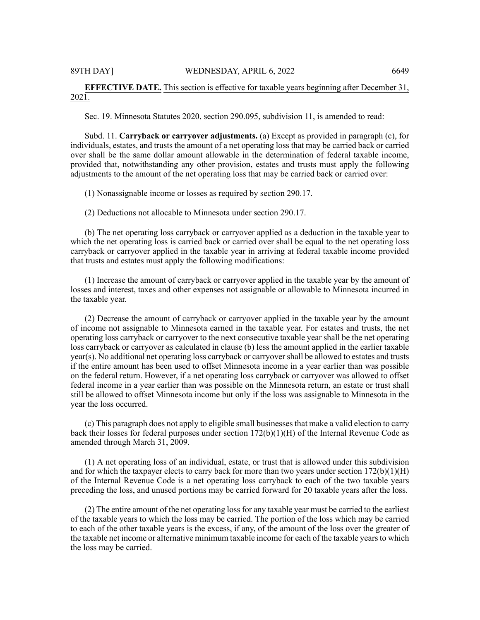# **EFFECTIVE DATE.** This section is effective for taxable years beginning after December 31, 2021.

Sec. 19. Minnesota Statutes 2020, section 290.095, subdivision 11, is amended to read:

Subd. 11. **Carryback or carryover adjustments.** (a) Except as provided in paragraph (c), for individuals, estates, and trusts the amount of a net operating loss that may be carried back or carried over shall be the same dollar amount allowable in the determination of federal taxable income, provided that, notwithstanding any other provision, estates and trusts must apply the following adjustments to the amount of the net operating loss that may be carried back or carried over:

(1) Nonassignable income or losses as required by section 290.17.

(2) Deductions not allocable to Minnesota under section 290.17.

(b) The net operating loss carryback or carryover applied as a deduction in the taxable year to which the net operating loss is carried back or carried over shall be equal to the net operating loss carryback or carryover applied in the taxable year in arriving at federal taxable income provided that trusts and estates must apply the following modifications:

(1) Increase the amount of carryback or carryover applied in the taxable year by the amount of losses and interest, taxes and other expenses not assignable or allowable to Minnesota incurred in the taxable year.

(2) Decrease the amount of carryback or carryover applied in the taxable year by the amount of income not assignable to Minnesota earned in the taxable year. For estates and trusts, the net operating loss carryback or carryover to the next consecutive taxable year shall be the net operating loss carryback or carryover as calculated in clause (b) less the amount applied in the earlier taxable year(s). No additional net operating loss carryback or carryovershall be allowed to estates and trusts if the entire amount has been used to offset Minnesota income in a year earlier than was possible on the federal return. However, if a net operating loss carryback or carryover was allowed to offset federal income in a year earlier than was possible on the Minnesota return, an estate or trust shall still be allowed to offset Minnesota income but only if the loss was assignable to Minnesota in the year the loss occurred.

(c) This paragraph does not apply to eligible small businesses that make a valid election to carry back their losses for federal purposes under section 172(b)(1)(H) of the Internal Revenue Code as amended through March 31, 2009.

(1) A net operating loss of an individual, estate, or trust that is allowed under this subdivision and for which the taxpayer elects to carry back for more than two years under section  $172(b)(1)(H)$ of the Internal Revenue Code is a net operating loss carryback to each of the two taxable years preceding the loss, and unused portions may be carried forward for 20 taxable years after the loss.

(2) The entire amount of the net operating loss for any taxable year must be carried to the earliest of the taxable years to which the loss may be carried. The portion of the loss which may be carried to each of the other taxable years is the excess, if any, of the amount of the loss over the greater of the taxable net income or alternative minimum taxable income for each of the taxable years to which the loss may be carried.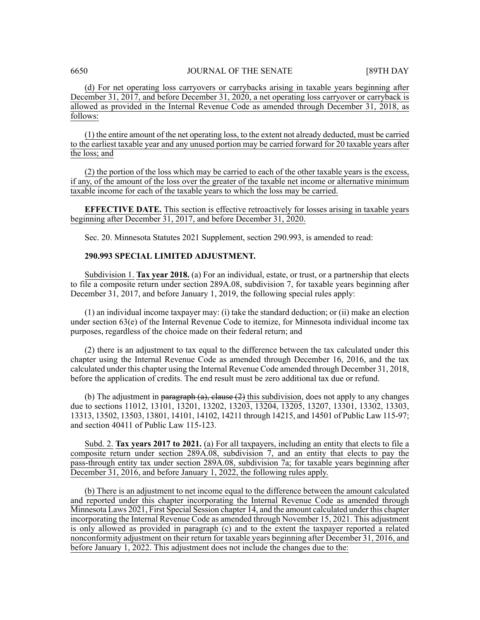(d) For net operating loss carryovers or carrybacks arising in taxable years beginning after December 31, 2017, and before December 31, 2020, a net operating loss carryover or carryback is allowed as provided in the Internal Revenue Code as amended through December 31, 2018, as follows:

(1) the entire amount of the net operating loss, to the extent not already deducted, must be carried to the earliest taxable year and any unused portion may be carried forward for 20 taxable years after the loss; and

(2) the portion of the loss which may be carried to each of the other taxable years is the excess, if any, of the amount of the loss over the greater of the taxable net income or alternative minimum taxable income for each of the taxable years to which the loss may be carried.

**EFFECTIVE DATE.** This section is effective retroactively for losses arising in taxable years beginning after December 31, 2017, and before December 31, 2020.

Sec. 20. Minnesota Statutes 2021 Supplement, section 290.993, is amended to read:

# **290.993 SPECIAL LIMITED ADJUSTMENT.**

Subdivision 1. **Tax year 2018.** (a) For an individual, estate, or trust, or a partnership that elects to file a composite return under section 289A.08, subdivision 7, for taxable years beginning after December 31, 2017, and before January 1, 2019, the following special rules apply:

(1) an individual income taxpayer may: (i) take the standard deduction; or (ii) make an election under section 63(e) of the Internal Revenue Code to itemize, for Minnesota individual income tax purposes, regardless of the choice made on their federal return; and

(2) there is an adjustment to tax equal to the difference between the tax calculated under this chapter using the Internal Revenue Code as amended through December 16, 2016, and the tax calculated under this chapter using the Internal Revenue Code amended through December 31, 2018, before the application of credits. The end result must be zero additional tax due or refund.

(b) The adjustment in paragraph  $(a)$ , clause  $(2)$  this subdivision, does not apply to any changes due to sections 11012, 13101, 13201, 13202, 13203, 13204, 13205, 13207, 13301, 13302, 13303, 13313, 13502, 13503, 13801, 14101, 14102, 14211 through 14215, and 14501 of Public Law 115-97; and section 40411 of Public Law 115-123.

Subd. 2. **Tax years 2017 to 2021.** (a) For all taxpayers, including an entity that elects to file a composite return under section 289A.08, subdivision 7, and an entity that elects to pay the pass-through entity tax under section 289A.08, subdivision 7a; for taxable years beginning after December 31, 2016, and before January 1, 2022, the following rules apply.

(b) There is an adjustment to net income equal to the difference between the amount calculated and reported under this chapter incorporating the Internal Revenue Code as amended through Minnesota Laws 2021, First Special Session chapter 14, and the amount calculated under this chapter incorporating the Internal Revenue Code as amended through November 15, 2021. This adjustment is only allowed as provided in paragraph (c) and to the extent the taxpayer reported a related nonconformity adjustment on their return for taxable years beginning after December 31, 2016, and before January 1, 2022. This adjustment does not include the changes due to the: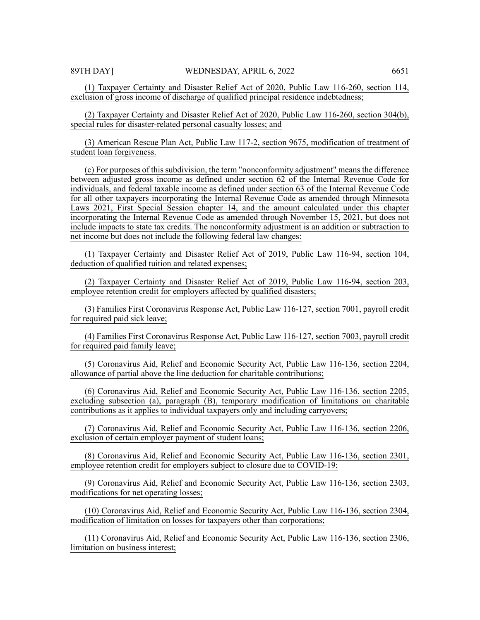(1) Taxpayer Certainty and Disaster Relief Act of 2020, Public Law 116-260, section 114, exclusion of gross income of discharge of qualified principal residence indebtedness;

(2) Taxpayer Certainty and Disaster Relief Act of 2020, Public Law 116-260, section 304(b), special rules for disaster-related personal casualty losses; and

(3) American Rescue Plan Act, Public Law 117-2, section 9675, modification of treatment of student loan forgiveness.

(c) For purposes of this subdivision, the term "nonconformity adjustment" means the difference between adjusted gross income as defined under section 62 of the Internal Revenue Code for individuals, and federal taxable income as defined under section 63 of the Internal Revenue Code for all other taxpayers incorporating the Internal Revenue Code as amended through Minnesota Laws 2021, First Special Session chapter 14, and the amount calculated under this chapter incorporating the Internal Revenue Code as amended through November 15, 2021, but does not include impacts to state tax credits. The nonconformity adjustment is an addition or subtraction to net income but does not include the following federal law changes:

(1) Taxpayer Certainty and Disaster Relief Act of 2019, Public Law 116-94, section 104, deduction of qualified tuition and related expenses;

(2) Taxpayer Certainty and Disaster Relief Act of 2019, Public Law 116-94, section 203, employee retention credit for employers affected by qualified disasters;

(3) Families First Coronavirus Response Act, Public Law 116-127, section 7001, payroll credit for required paid sick leave;

(4) Families First Coronavirus Response Act, Public Law 116-127, section 7003, payroll credit for required paid family leave;

(5) Coronavirus Aid, Relief and Economic Security Act, Public Law 116-136, section 2204, allowance of partial above the line deduction for charitable contributions;

(6) Coronavirus Aid, Relief and Economic Security Act, Public Law 116-136, section 2205, excluding subsection (a), paragraph (B), temporary modification of limitations on charitable contributions as it applies to individual taxpayers only and including carryovers;

(7) Coronavirus Aid, Relief and Economic Security Act, Public Law 116-136, section 2206, exclusion of certain employer payment of student loans;

(8) Coronavirus Aid, Relief and Economic Security Act, Public Law 116-136, section 2301, employee retention credit for employers subject to closure due to COVID-19;

(9) Coronavirus Aid, Relief and Economic Security Act, Public Law 116-136, section 2303, modifications for net operating losses;

(10) Coronavirus Aid, Relief and Economic Security Act, Public Law 116-136, section 2304, modification of limitation on losses for taxpayers other than corporations;

(11) Coronavirus Aid, Relief and Economic Security Act, Public Law 116-136, section 2306, limitation on business interest;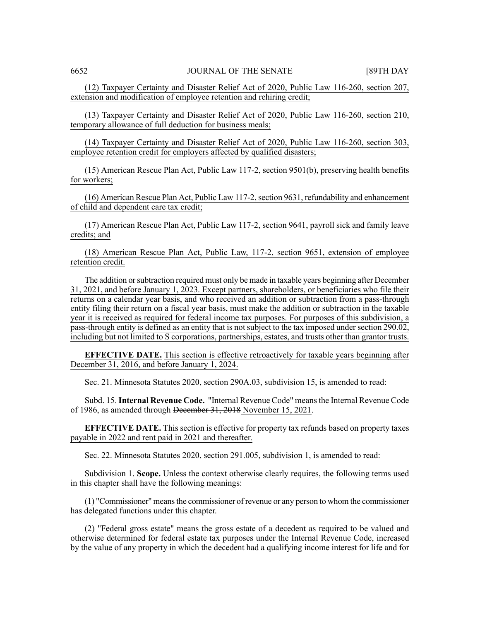(12) Taxpayer Certainty and Disaster Relief Act of 2020, Public Law 116-260, section 207, extension and modification of employee retention and rehiring credit;

(13) Taxpayer Certainty and Disaster Relief Act of 2020, Public Law 116-260, section 210, temporary allowance of full deduction for business meals;

(14) Taxpayer Certainty and Disaster Relief Act of 2020, Public Law 116-260, section 303, employee retention credit for employers affected by qualified disasters;

(15) American Rescue Plan Act, Public Law 117-2, section 9501(b), preserving health benefits for workers;

 $(16)$  American Rescue Plan Act, Public Law 117-2, section 9631, refundability and enhancement of child and dependent care tax credit;

(17) American Rescue Plan Act, Public Law 117-2, section 9641, payroll sick and family leave credits; and

(18) American Rescue Plan Act, Public Law, 117-2, section 9651, extension of employee retention credit.

The addition or subtraction required must only be made in taxable years beginning after December 31, 2021, and before January 1, 2023. Except partners, shareholders, or beneficiaries who file their returns on a calendar year basis, and who received an addition or subtraction from a pass-through entity filing their return on a fiscal year basis, must make the addition or subtraction in the taxable year it is received as required for federal income tax purposes. For purposes of this subdivision, a pass-through entity is defined as an entity that is not subject to the tax imposed under section 290.02, including but not limited to S corporations, partnerships, estates, and trusts other than grantor trusts.

**EFFECTIVE DATE.** This section is effective retroactively for taxable years beginning after December 31, 2016, and before January 1, 2024.

Sec. 21. Minnesota Statutes 2020, section 290A.03, subdivision 15, is amended to read:

Subd. 15.**Internal Revenue Code.** "Internal Revenue Code" meansthe Internal Revenue Code of 1986, as amended through December 31, 2018 November 15, 2021.

**EFFECTIVE DATE.** This section is effective for property tax refunds based on property taxes payable in 2022 and rent paid in 2021 and thereafter.

Sec. 22. Minnesota Statutes 2020, section 291.005, subdivision 1, is amended to read:

Subdivision 1. **Scope.** Unless the context otherwise clearly requires, the following terms used in this chapter shall have the following meanings:

(1) "Commissioner" meansthe commissioner of revenue or any person to whom the commissioner has delegated functions under this chapter.

(2) "Federal gross estate" means the gross estate of a decedent as required to be valued and otherwise determined for federal estate tax purposes under the Internal Revenue Code, increased by the value of any property in which the decedent had a qualifying income interest for life and for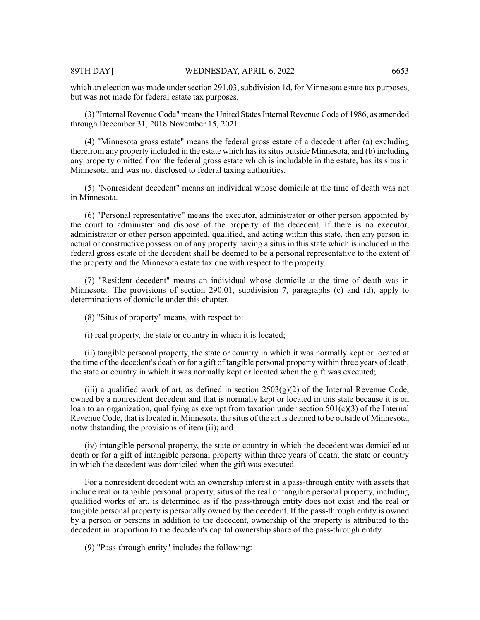which an election was made under section 291.03, subdivision 1d, for Minnesota estate tax purposes, but was not made for federal estate tax purposes.

(3) "Internal Revenue Code" meansthe United StatesInternal Revenue Code of 1986, as amended through December 31, 2018 November 15, 2021.

(4) "Minnesota gross estate" means the federal gross estate of a decedent after (a) excluding therefrom any property included in the estate which has its situs outside Minnesota, and (b) including any property omitted from the federal gross estate which is includable in the estate, has its situs in Minnesota, and was not disclosed to federal taxing authorities.

(5) "Nonresident decedent" means an individual whose domicile at the time of death was not in Minnesota.

(6) "Personal representative" means the executor, administrator or other person appointed by the court to administer and dispose of the property of the decedent. If there is no executor, administrator or other person appointed, qualified, and acting within this state, then any person in actual or constructive possession of any property having a situs in this state which is included in the federal gross estate of the decedent shall be deemed to be a personal representative to the extent of the property and the Minnesota estate tax due with respect to the property.

(7) "Resident decedent" means an individual whose domicile at the time of death was in Minnesota. The provisions of section 290.01, subdivision 7, paragraphs (c) and (d), apply to determinations of domicile under this chapter.

(8) "Situs of property" means, with respect to:

(i) real property, the state or country in which it is located;

(ii) tangible personal property, the state or country in which it was normally kept or located at the time of the decedent's death or for a gift of tangible personal property within three years of death, the state or country in which it was normally kept or located when the gift was executed;

(iii) a qualified work of art, as defined in section  $2503(g)(2)$  of the Internal Revenue Code, owned by a nonresident decedent and that is normally kept or located in this state because it is on loan to an organization, qualifying as exempt from taxation under section  $501(c)(3)$  of the Internal Revenue Code, that is located in Minnesota, the situs of the art is deemed to be outside of Minnesota, notwithstanding the provisions of item (ii); and

(iv) intangible personal property, the state or country in which the decedent was domiciled at death or for a gift of intangible personal property within three years of death, the state or country in which the decedent was domiciled when the gift was executed.

For a nonresident decedent with an ownership interest in a pass-through entity with assets that include real or tangible personal property, situs of the real or tangible personal property, including qualified works of art, is determined as if the pass-through entity does not exist and the real or tangible personal property is personally owned by the decedent. If the pass-through entity is owned by a person or persons in addition to the decedent, ownership of the property is attributed to the decedent in proportion to the decedent's capital ownership share of the pass-through entity.

(9) "Pass-through entity" includes the following: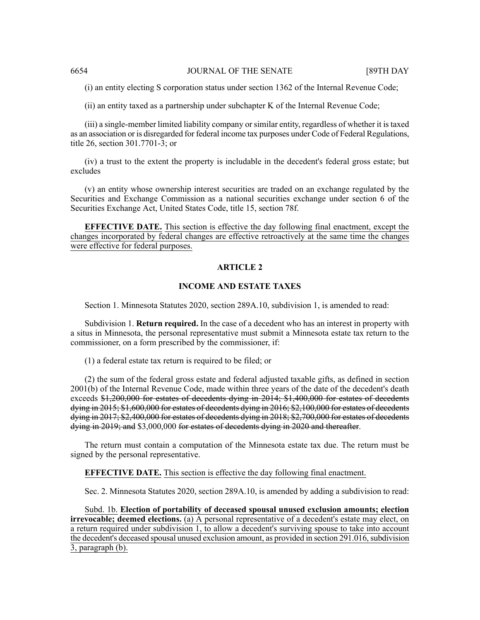(i) an entity electing S corporation status under section 1362 of the Internal Revenue Code;

(ii) an entity taxed as a partnership under subchapter K of the Internal Revenue Code;

(iii) a single-member limited liability company or similar entity, regardless of whether it is taxed as an association or is disregarded for federal income tax purposes under Code of Federal Regulations, title 26, section 301.7701-3; or

(iv) a trust to the extent the property is includable in the decedent's federal gross estate; but excludes

(v) an entity whose ownership interest securities are traded on an exchange regulated by the Securities and Exchange Commission as a national securities exchange under section 6 of the Securities Exchange Act, United States Code, title 15, section 78f.

**EFFECTIVE DATE.** This section is effective the day following final enactment, except the changes incorporated by federal changes are effective retroactively at the same time the changes were effective for federal purposes.

# **ARTICLE 2**

# **INCOME AND ESTATE TAXES**

Section 1. Minnesota Statutes 2020, section 289A.10, subdivision 1, is amended to read:

Subdivision 1. **Return required.** In the case of a decedent who has an interest in property with a situs in Minnesota, the personal representative must submit a Minnesota estate tax return to the commissioner, on a form prescribed by the commissioner, if:

(1) a federal estate tax return is required to be filed; or

(2) the sum of the federal gross estate and federal adjusted taxable gifts, as defined in section 2001(b) of the Internal Revenue Code, made within three years of the date of the decedent's death exceeds \$1,200,000 for estates of decedents dying in 2014; \$1,400,000 for estates of decedents dying in 2015; \$1,600,000 for estates of decedents dying in 2016; \$2,100,000 for estates of decedents dying in 2017; \$2,400,000 for estates of decedents dying in 2018; \$2,700,000 for estates of decedents dying in 2019; and \$3,000,000 for estates of decedents dying in 2020 and thereafter.

The return must contain a computation of the Minnesota estate tax due. The return must be signed by the personal representative.

**EFFECTIVE DATE.** This section is effective the day following final enactment.

Sec. 2. Minnesota Statutes 2020, section 289A.10, is amended by adding a subdivision to read:

Subd. 1b. **Election of portability of deceased spousal unused exclusion amounts; election irrevocable; deemed elections.** (a) A personal representative of a decedent's estate may elect, on a return required under subdivision 1, to allow a decedent's surviving spouse to take into account the decedent's deceased spousal unused exclusion amount, as provided in section 291.016, subdivision 3, paragraph (b).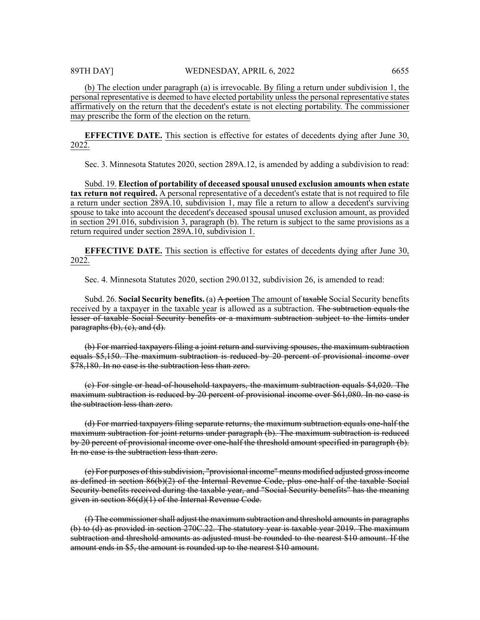(b) The election under paragraph (a) is irrevocable. By filing a return under subdivision 1, the personal representative is deemed to have elected portability unlessthe personal representative states affirmatively on the return that the decedent's estate is not electing portability. The commissioner may prescribe the form of the election on the return.

**EFFECTIVE DATE.** This section is effective for estates of decedents dying after June 30, 2022.

Sec. 3. Minnesota Statutes 2020, section 289A.12, is amended by adding a subdivision to read:

Subd. 19. **Election of portability of deceased spousal unused exclusion amounts when estate tax return not required.** A personal representative of a decedent's estate that is not required to file a return under section 289A.10, subdivision 1, may file a return to allow a decedent's surviving spouse to take into account the decedent's deceased spousal unused exclusion amount, as provided in section 291.016, subdivision 3, paragraph (b). The return is subject to the same provisions as a return required under section 289A.10, subdivision 1.

**EFFECTIVE DATE.** This section is effective for estates of decedents dying after June 30, 2022.

Sec. 4. Minnesota Statutes 2020, section 290.0132, subdivision 26, is amended to read:

Subd. 26. **Social Security benefits.** (a) A portion The amount of taxable Social Security benefits received by a taxpayer in the taxable year is allowed as a subtraction. The subtraction equals the lesser of taxable Social Security benefits or a maximum subtraction subject to the limits under  $paragraphs (b), (c), and (d).$ 

(b) For married taxpayers filing a joint return and surviving spouses, the maximum subtraction equals \$5,150. The maximum subtraction is reduced by 20 percent of provisional income over \$78,180. In no case is the subtraction less than zero.

(c) For single or head-of-household taxpayers, the maximum subtraction equals \$4,020. The maximum subtraction is reduced by 20 percent of provisional income over \$61,080. In no case is the subtraction less than zero.

(d) For married taxpayers filing separate returns, the maximum subtraction equals one-half the maximum subtraction for joint returns under paragraph (b). The maximum subtraction is reduced by 20 percent of provisional income over one-half the threshold amount specified in paragraph (b). In no case is the subtraction less than zero.

(e) For purposes of this subdivision, "provisional income" means modified adjusted gross income as defined in section 86(b)(2) of the Internal Revenue Code, plus one-half of the taxable Social Security benefits received during the taxable year, and "Social Security benefits" has the meaning given in section 86(d)(1) of the Internal Revenue Code.

 $(f)$  The commissioner shall adjust the maximum subtraction and threshold amounts in paragraphs (b) to (d) as provided in section 270C.22. The statutory year is taxable year 2019. The maximum subtraction and threshold amounts as adjusted must be rounded to the nearest \$10 amount. If the amount ends in \$5, the amount is rounded up to the nearest \$10 amount.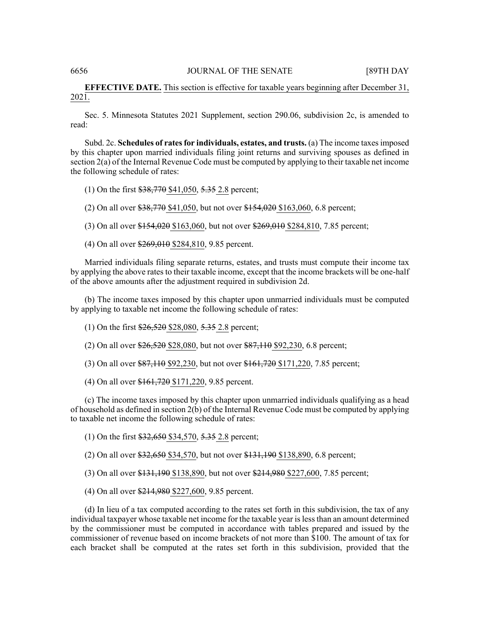# **EFFECTIVE DATE.** This section is effective for taxable years beginning after December 31, 2021.

Sec. 5. Minnesota Statutes 2021 Supplement, section 290.06, subdivision 2c, is amended to read:

Subd. 2c. **Schedules of ratesfor individuals, estates, and trusts.** (a) The income taxesimposed by this chapter upon married individuals filing joint returns and surviving spouses as defined in section 2(a) of the Internal Revenue Code must be computed by applying to their taxable net income the following schedule of rates:

(1) On the first \$38,770 \$41,050, 5.35 2.8 percent;

(2) On all over \$38,770 \$41,050, but not over \$154,020 \$163,060, 6.8 percent;

(3) On all over \$154,020 \$163,060, but not over \$269,010 \$284,810, 7.85 percent;

(4) On all over \$269,010 \$284,810, 9.85 percent.

Married individuals filing separate returns, estates, and trusts must compute their income tax by applying the above rates to their taxable income, except that the income brackets will be one-half of the above amounts after the adjustment required in subdivision 2d.

(b) The income taxes imposed by this chapter upon unmarried individuals must be computed by applying to taxable net income the following schedule of rates:

(1) On the first \$26,520 \$28,080, 5.35 2.8 percent;

(2) On all over \$26,520 \$28,080, but not over \$87,110 \$92,230, 6.8 percent;

(3) On all over \$87,110 \$92,230, but not over \$161,720 \$171,220, 7.85 percent;

(4) On all over \$161,720 \$171,220, 9.85 percent.

(c) The income taxes imposed by this chapter upon unmarried individuals qualifying as a head of household as defined in section 2(b) of the Internal Revenue Code must be computed by applying to taxable net income the following schedule of rates:

(1) On the first \$32,650 \$34,570, 5.35 2.8 percent;

(2) On all over \$32,650 \$34,570, but not over \$131,190 \$138,890, 6.8 percent;

(3) On all over \$131,190 \$138,890, but not over \$214,980 \$227,600, 7.85 percent;

(4) On all over \$214,980 \$227,600, 9.85 percent.

(d) In lieu of a tax computed according to the rates set forth in this subdivision, the tax of any individual taxpayer whose taxable net income for the taxable year islessthan an amount determined by the commissioner must be computed in accordance with tables prepared and issued by the commissioner of revenue based on income brackets of not more than \$100. The amount of tax for each bracket shall be computed at the rates set forth in this subdivision, provided that the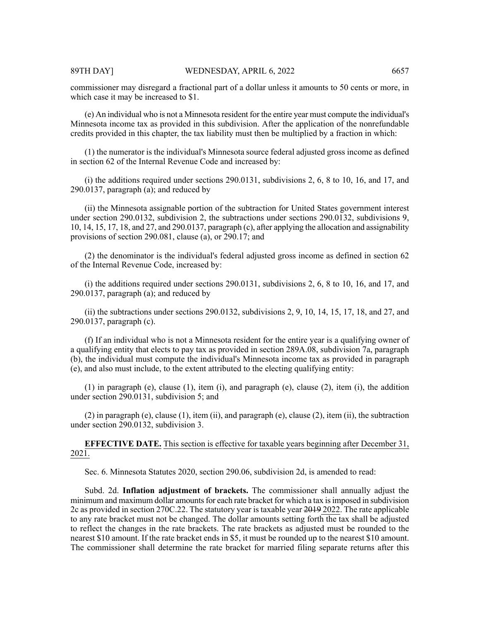commissioner may disregard a fractional part of a dollar unless it amounts to 50 cents or more, in which case it may be increased to \$1.

(e) An individual who is not a Minnesota resident for the entire year must compute the individual's Minnesota income tax as provided in this subdivision. After the application of the nonrefundable credits provided in this chapter, the tax liability must then be multiplied by a fraction in which:

(1) the numerator is the individual's Minnesota source federal adjusted gross income as defined in section 62 of the Internal Revenue Code and increased by:

(i) the additions required under sections 290.0131, subdivisions 2, 6, 8 to 10, 16, and 17, and 290.0137, paragraph  $(a)$ ; and reduced by

(ii) the Minnesota assignable portion of the subtraction for United States government interest under section 290.0132, subdivision 2, the subtractions under sections 290.0132, subdivisions 9, 10, 14, 15, 17, 18, and 27, and 290.0137, paragraph (c), after applying the allocation and assignability provisions of section 290.081, clause (a), or 290.17; and

(2) the denominator is the individual's federal adjusted gross income as defined in section 62 of the Internal Revenue Code, increased by:

(i) the additions required under sections 290.0131, subdivisions 2, 6, 8 to 10, 16, and 17, and 290.0137, paragraph  $(a)$ ; and reduced by

(ii) the subtractions under sections 290.0132, subdivisions 2, 9, 10, 14, 15, 17, 18, and 27, and 290.0137, paragraph (c).

(f) If an individual who is not a Minnesota resident for the entire year is a qualifying owner of a qualifying entity that elects to pay tax as provided in section 289A.08, subdivision 7a, paragraph (b), the individual must compute the individual's Minnesota income tax as provided in paragraph (e), and also must include, to the extent attributed to the electing qualifying entity:

(1) in paragraph (e), clause (1), item (i), and paragraph (e), clause (2), item (i), the addition under section 290.0131, subdivision 5; and

(2) in paragraph (e), clause (1), item (ii), and paragraph (e), clause (2), item (ii), the subtraction under section 290.0132, subdivision 3.

**EFFECTIVE DATE.** This section is effective for taxable years beginning after December 31, 2021.

Sec. 6. Minnesota Statutes 2020, section 290.06, subdivision 2d, is amended to read:

Subd. 2d. **Inflation adjustment of brackets.** The commissioner shall annually adjust the minimum and maximum dollar amounts for each rate bracket for which a tax is imposed in subdivision 2c as provided in section 270C.22. The statutory year is taxable year 2019 2022. The rate applicable to any rate bracket must not be changed. The dollar amounts setting forth the tax shall be adjusted to reflect the changes in the rate brackets. The rate brackets as adjusted must be rounded to the nearest \$10 amount. If the rate bracket ends in \$5, it must be rounded up to the nearest \$10 amount. The commissioner shall determine the rate bracket for married filing separate returns after this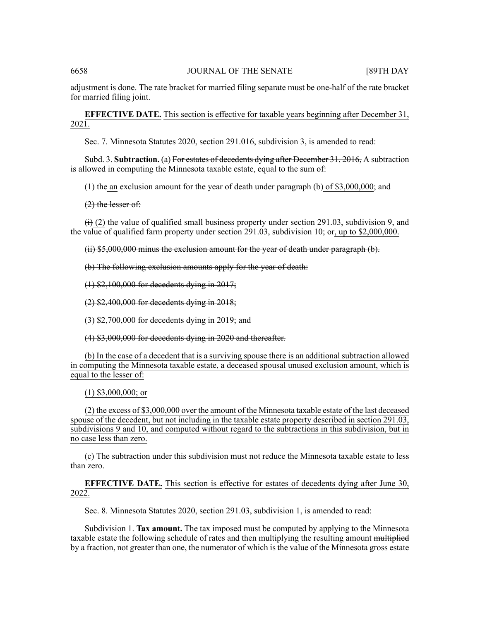adjustment is done. The rate bracket for married filing separate must be one-half of the rate bracket for married filing joint.

**EFFECTIVE DATE.** This section is effective for taxable years beginning after December 31, 2021.

Sec. 7. Minnesota Statutes 2020, section 291.016, subdivision 3, is amended to read:

Subd. 3. **Subtraction.** (a) For estates of decedents dying after December 31, 2016, A subtraction is allowed in computing the Minnesota taxable estate, equal to the sum of:

(1) the an exclusion amount for the year of death under paragraph  $(b)$  of \$3,000,000; and

 $(2)$  the lesser of:

 $\leftrightarrow$  (2) the value of qualified small business property under section 291.03, subdivision 9, and the value of qualified farm property under section 291.03, subdivision  $10\frac{1}{2}$  or, up to \$2,000,000.

(ii) \$5,000,000 minus the exclusion amount for the year of death under paragraph (b).

(b) The following exclusion amounts apply for the year of death:

(1) \$2,100,000 for decedents dying in 2017;

(2) \$2,400,000 for decedents dying in 2018;

(3) \$2,700,000 for decedents dying in 2019; and

(4) \$3,000,000 for decedents dying in 2020 and thereafter.

(b) In the case of a decedent that is a surviving spouse there is an additional subtraction allowed in computing the Minnesota taxable estate, a deceased spousal unused exclusion amount, which is equal to the lesser of:

(1) \$3,000,000; or

(2) the excess of \$3,000,000 over the amount of the Minnesota taxable estate of the last deceased spouse of the decedent, but not including in the taxable estate property described in section 291.03, subdivisions 9 and 10, and computed without regard to the subtractions in this subdivision, but in no case less than zero.

(c) The subtraction under this subdivision must not reduce the Minnesota taxable estate to less than zero.

**EFFECTIVE DATE.** This section is effective for estates of decedents dying after June 30, 2022.

Sec. 8. Minnesota Statutes 2020, section 291.03, subdivision 1, is amended to read:

Subdivision 1. **Tax amount.** The tax imposed must be computed by applying to the Minnesota taxable estate the following schedule of rates and then multiplying the resulting amount multiplied by a fraction, not greater than one, the numerator of which is the value of the Minnesota gross estate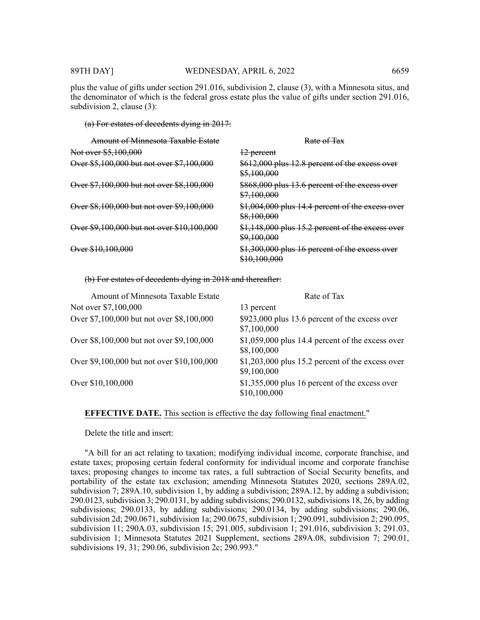### 89TH DAY] WEDNESDAY, APRIL 6, 2022 6659

plus the value of gifts under section 291.016, subdivision 2, clause (3), with a Minnesota situs, and the denominator of which is the federal gross estate plus the value of gifts under section 291.016, subdivision 2, clause (3):

#### (a) For estates of decedents dying in 2017:

| Amount of Minnesota Taxable Estate         | Rate of Tax                                                                |
|--------------------------------------------|----------------------------------------------------------------------------|
| Not over \$5,100,000                       | 12 percent                                                                 |
| Over \$5,100,000 but not over \$7,100,000  | \$612,000 plus 12.8 percent of the excess over<br>\$5,100,000              |
| Over \$7,100,000 but not over \$8,100,000  | \$868,000 plus 13.6 percent of the excess over<br>\$7,100,000              |
| Over \$8,100,000 but not over \$9,100,000  | \$1,004,000 plus 14.4 percent of the excess over<br>\$8,100,000            |
| Over \$9,100,000 but not over \$10,100,000 | \$1,148,000 plus 15.2 percent of the excess over<br><del>\$9,100,000</del> |
| Over \$10,100,000                          | \$1,300,000 plus 16 percent of the excess over<br><del>\$10,100,000</del>  |

(b) For estates of decedents dying in 2018 and thereafter:

| <b>Amount of Minnesota Taxable Estate</b>  | Rate of Tax                                                      |
|--------------------------------------------|------------------------------------------------------------------|
| Not over \$7,100,000                       | 13 percent                                                       |
| Over \$7,100,000 but not over \$8,100,000  | \$923,000 plus 13.6 percent of the excess over<br>\$7,100,000    |
| Over \$8,100,000 but not over \$9,100,000  | $$1,059,000$ plus 14.4 percent of the excess over<br>\$8,100,000 |
| Over \$9,100,000 but not over \$10,100,000 | $$1,203,000$ plus 15.2 percent of the excess over<br>\$9,100,000 |
| Over \$10,100,000                          | $$1,355,000$ plus 16 percent of the excess over<br>\$10,100,000  |

# **EFFECTIVE DATE.** This section is effective the day following final enactment."

Delete the title and insert:

"A bill for an act relating to taxation; modifying individual income, corporate franchise, and estate taxes; proposing certain federal conformity for individual income and corporate franchise taxes; proposing changes to income tax rates, a full subtraction of Social Security benefits, and portability of the estate tax exclusion; amending Minnesota Statutes 2020, sections 289A.02, subdivision 7; 289A.10, subdivision 1, by adding a subdivision; 289A.12, by adding a subdivision;  $290.0123$ , subdivision 3;  $290.0131$ , by adding subdivisions;  $290.0132$ , subdivisions 18, 26, by adding subdivisions; 290.0133, by adding subdivisions; 290.0134, by adding subdivisions; 290.06, subdivision 2d; 290.0671, subdivision 1a; 290.0675, subdivision 1; 290.091, subdivision 2; 290.095, subdivision 11; 290A.03, subdivision 15; 291.005, subdivision 1; 291.016, subdivision 3; 291.03, subdivision 1; Minnesota Statutes 2021 Supplement, sections 289A.08, subdivision 7; 290.01, subdivisions 19, 31; 290.06, subdivision 2c; 290.993."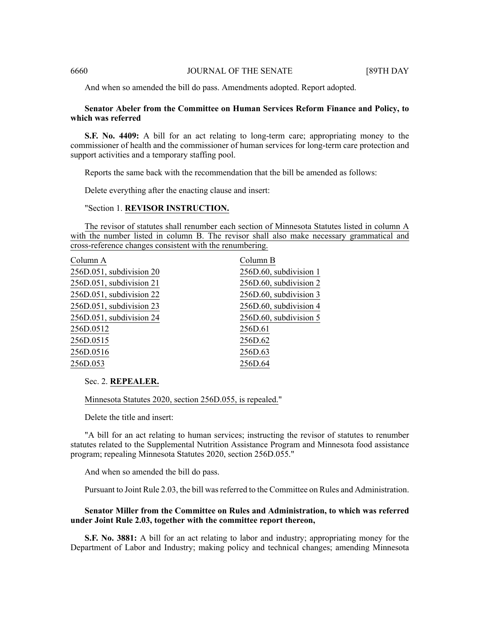And when so amended the bill do pass. Amendments adopted. Report adopted.

# **Senator Abeler from the Committee on Human Services Reform Finance and Policy, to which was referred**

**S.F. No. 4409:** A bill for an act relating to long-term care; appropriating money to the commissioner of health and the commissioner of human services for long-term care protection and support activities and a temporary staffing pool.

Reports the same back with the recommendation that the bill be amended as follows:

Delete everything after the enacting clause and insert:

### "Section 1. **REVISOR INSTRUCTION.**

The revisor of statutes shall renumber each section of Minnesota Statutes listed in column A with the number listed in column B. The revisor shall also make necessary grammatical and cross-reference changes consistent with the renumbering.

| Column A                 | Column B               |
|--------------------------|------------------------|
| 256D.051, subdivision 20 | 256D.60, subdivision 1 |
| 256D.051, subdivision 21 | 256D.60, subdivision 2 |
| 256D.051, subdivision 22 | 256D.60, subdivision 3 |
| 256D.051, subdivision 23 | 256D.60, subdivision 4 |
| 256D.051, subdivision 24 | 256D.60, subdivision 5 |
| 256D.0512                | 256D.61                |
| 256D.0515                | 256D.62                |
| 256D.0516                | 256D.63                |
| 256D.053                 | 256D.64                |
|                          |                        |

Sec. 2. **REPEALER.**

Minnesota Statutes 2020, section 256D.055, is repealed."

Delete the title and insert:

"A bill for an act relating to human services; instructing the revisor of statutes to renumber statutes related to the Supplemental Nutrition Assistance Program and Minnesota food assistance program; repealing Minnesota Statutes 2020, section 256D.055."

And when so amended the bill do pass.

Pursuant to Joint Rule 2.03, the bill wasreferred to the Committee on Rules and Administration.

# **Senator Miller from the Committee on Rules and Administration, to which was referred under Joint Rule 2.03, together with the committee report thereon,**

**S.F. No. 3881:** A bill for an act relating to labor and industry; appropriating money for the Department of Labor and Industry; making policy and technical changes; amending Minnesota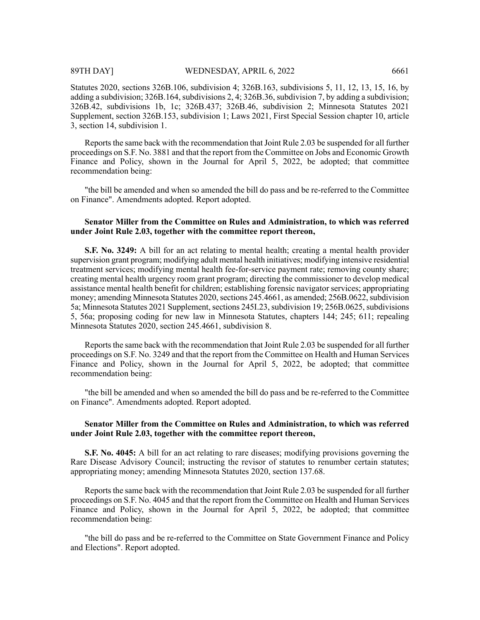Statutes 2020, sections 326B.106, subdivision 4; 326B.163, subdivisions 5, 11, 12, 13, 15, 16, by adding a subdivision;  $326B.164$ , subdivisions 2, 4;  $326B.36$ , subdivision 7, by adding a subdivision; 326B.42, subdivisions 1b, 1c; 326B.437; 326B.46, subdivision 2; Minnesota Statutes 2021 Supplement, section 326B.153, subdivision 1; Laws 2021, First Special Session chapter 10, article 3, section 14, subdivision 1.

Reports the same back with the recommendation that Joint Rule 2.03 be suspended for all further proceedings on S.F. No. 3881 and that the report from the Committee on Jobs and Economic Growth Finance and Policy, shown in the Journal for April 5, 2022, be adopted; that committee recommendation being:

"the bill be amended and when so amended the bill do pass and be re-referred to the Committee on Finance". Amendments adopted. Report adopted.

# **Senator Miller from the Committee on Rules and Administration, to which was referred under Joint Rule 2.03, together with the committee report thereon,**

**S.F. No. 3249:** A bill for an act relating to mental health; creating a mental health provider supervision grant program; modifying adult mental health initiatives; modifying intensive residential treatment services; modifying mental health fee-for-service payment rate; removing county share; creating mental health urgency room grant program; directing the commissioner to develop medical assistance mental health benefit for children; establishing forensic navigator services; appropriating money; amending Minnesota Statutes 2020, sections 245.4661, as amended; 256B.0622, subdivision 5a; Minnesota Statutes 2021 Supplement, sections 245I.23, subdivision 19; 256B.0625, subdivisions 5, 56a; proposing coding for new law in Minnesota Statutes, chapters 144; 245; 611; repealing Minnesota Statutes 2020, section 245.4661, subdivision 8.

Reports the same back with the recommendation that Joint Rule 2.03 be suspended for all further proceedings on S.F. No. 3249 and that the report from the Committee on Health and Human Services Finance and Policy, shown in the Journal for April 5, 2022, be adopted; that committee recommendation being:

"the bill be amended and when so amended the bill do pass and be re-referred to the Committee on Finance". Amendments adopted. Report adopted.

# **Senator Miller from the Committee on Rules and Administration, to which was referred under Joint Rule 2.03, together with the committee report thereon,**

**S.F. No. 4045:** A bill for an act relating to rare diseases; modifying provisions governing the Rare Disease Advisory Council; instructing the revisor of statutes to renumber certain statutes; appropriating money; amending Minnesota Statutes 2020, section 137.68.

Reports the same back with the recommendation that Joint Rule 2.03 be suspended for all further proceedings on S.F. No. 4045 and that the report from the Committee on Health and Human Services Finance and Policy, shown in the Journal for April 5, 2022, be adopted; that committee recommendation being:

"the bill do pass and be re-referred to the Committee on State Government Finance and Policy and Elections". Report adopted.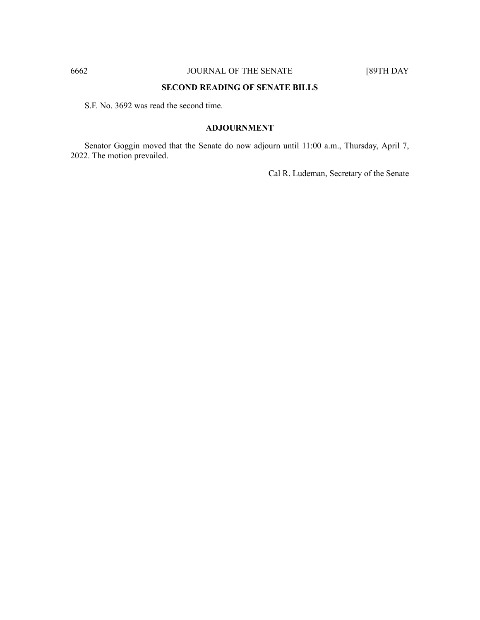# **SECOND READING OF SENATE BILLS**

S.F. No. 3692 was read the second time.

# **ADJOURNMENT**

Senator Goggin moved that the Senate do now adjourn until 11:00 a.m., Thursday, April 7, 2022. The motion prevailed.

Cal R. Ludeman, Secretary of the Senate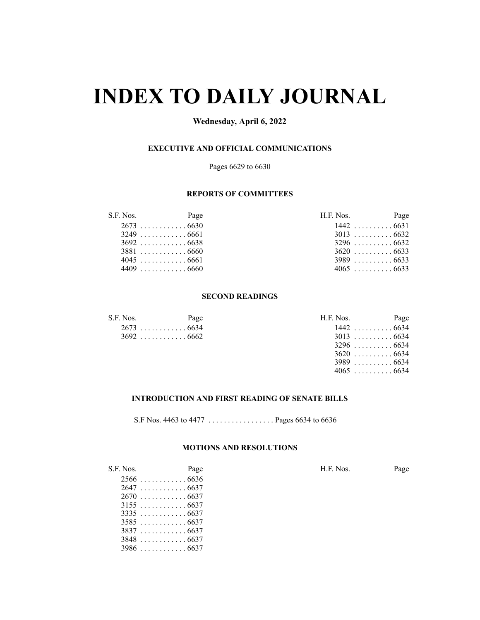# **INDEX TO DAILY JOURNAL**

# **Wednesday, April 6, 2022**

# **EXECUTIVE AND OFFICIAL COMMUNICATIONS**

Pages 6629 to 6630

# **REPORTS OF COMMITTEES**

| S.F. Nos. | Page        | H.F. Nos.   | Page |
|-----------|-------------|-------------|------|
|           | $2673$ 6630 |             |      |
|           | $3249$ 6661 |             |      |
|           |             | $3296$ 6632 |      |
|           |             | $3620$ 6633 |      |
|           | $4045$ 6661 | $3989$ 6633 |      |
|           | 4409 6660   | $4065$ 6633 |      |

#### **SECOND READINGS**

| S.F. Nos. | Page        | H.F. Nos.   | Page |
|-----------|-------------|-------------|------|
|           | 2673 6634   | $1442$ 6634 |      |
|           | $3692$ 6662 | $3013$ 6634 |      |

| Nos.      | Page      | H.F. Nos. | Page        |
|-----------|-----------|-----------|-------------|
| 2673 6634 |           |           | $1442$ 6634 |
|           | 3692 6662 |           | $3013$ 6634 |
|           |           |           | $3296$ 6634 |
|           |           |           | $3620$ 6634 |
|           |           |           | $3989$ 6634 |
|           |           |           | $4065$ 6634 |

# **INTRODUCTION AND FIRST READING OF SENATE BILLS**

S.F Nos. 4463 to 4477 . . . . . . . . . . . . . . . . . Pages 6634 to 6636

# **MOTIONS AND RESOLUTIONS**

S.F. Nos. Page H.F. Nos. Page . . . . . . . . . . . . 6636 . . . . . . . . . . . . 6637  $2670...$  . . . . . . . . . . . 6637 . . . . . . . . . . . . 6637 . . . . . . . . . . . . 6637 . . . . . . . . . . . . 6637 . . . . . . . . . . . . 6637 . . . . . . . . . . . . 6637 . . . . . . . . . . . . 6637